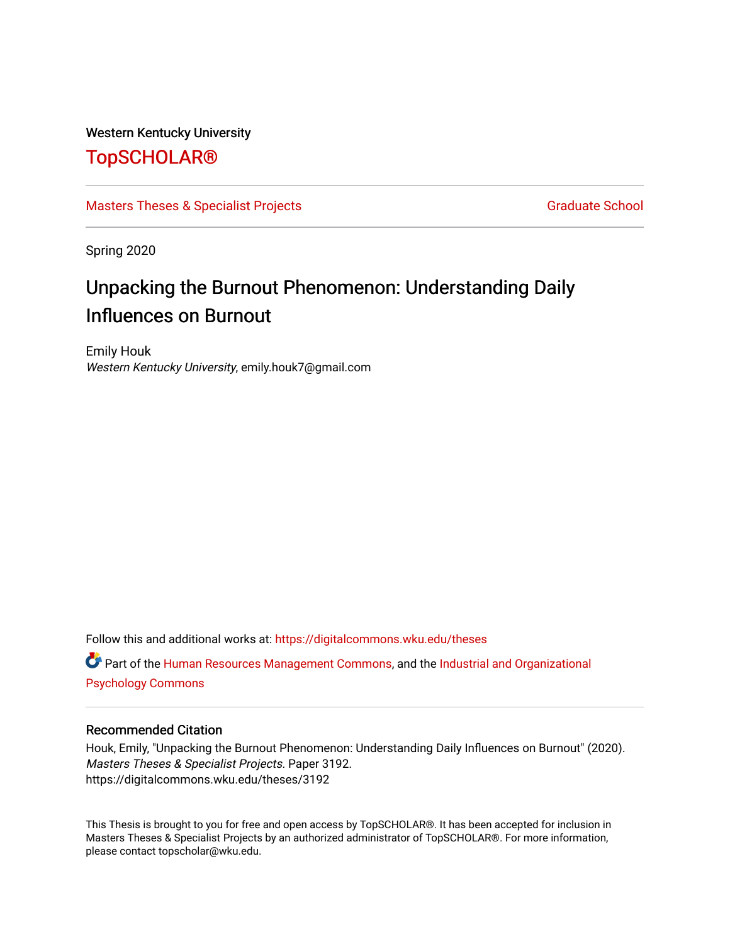### Western Kentucky University

# [TopSCHOLAR®](https://digitalcommons.wku.edu/)

### [Masters Theses & Specialist Projects](https://digitalcommons.wku.edu/theses) [Graduate School](https://digitalcommons.wku.edu/Graduate) Graduate School

Spring 2020

# Unpacking the Burnout Phenomenon: Understanding Daily Influences on Burnout

Emily Houk Western Kentucky University, emily.houk7@gmail.com

Follow this and additional works at: [https://digitalcommons.wku.edu/theses](https://digitalcommons.wku.edu/theses?utm_source=digitalcommons.wku.edu%2Ftheses%2F3192&utm_medium=PDF&utm_campaign=PDFCoverPages)  Part of the [Human Resources Management Commons,](http://network.bepress.com/hgg/discipline/633?utm_source=digitalcommons.wku.edu%2Ftheses%2F3192&utm_medium=PDF&utm_campaign=PDFCoverPages) and the [Industrial and Organizational](http://network.bepress.com/hgg/discipline/412?utm_source=digitalcommons.wku.edu%2Ftheses%2F3192&utm_medium=PDF&utm_campaign=PDFCoverPages) [Psychology Commons](http://network.bepress.com/hgg/discipline/412?utm_source=digitalcommons.wku.edu%2Ftheses%2F3192&utm_medium=PDF&utm_campaign=PDFCoverPages) 

#### Recommended Citation

Houk, Emily, "Unpacking the Burnout Phenomenon: Understanding Daily Influences on Burnout" (2020). Masters Theses & Specialist Projects. Paper 3192. https://digitalcommons.wku.edu/theses/3192

This Thesis is brought to you for free and open access by TopSCHOLAR®. It has been accepted for inclusion in Masters Theses & Specialist Projects by an authorized administrator of TopSCHOLAR®. For more information, please contact topscholar@wku.edu.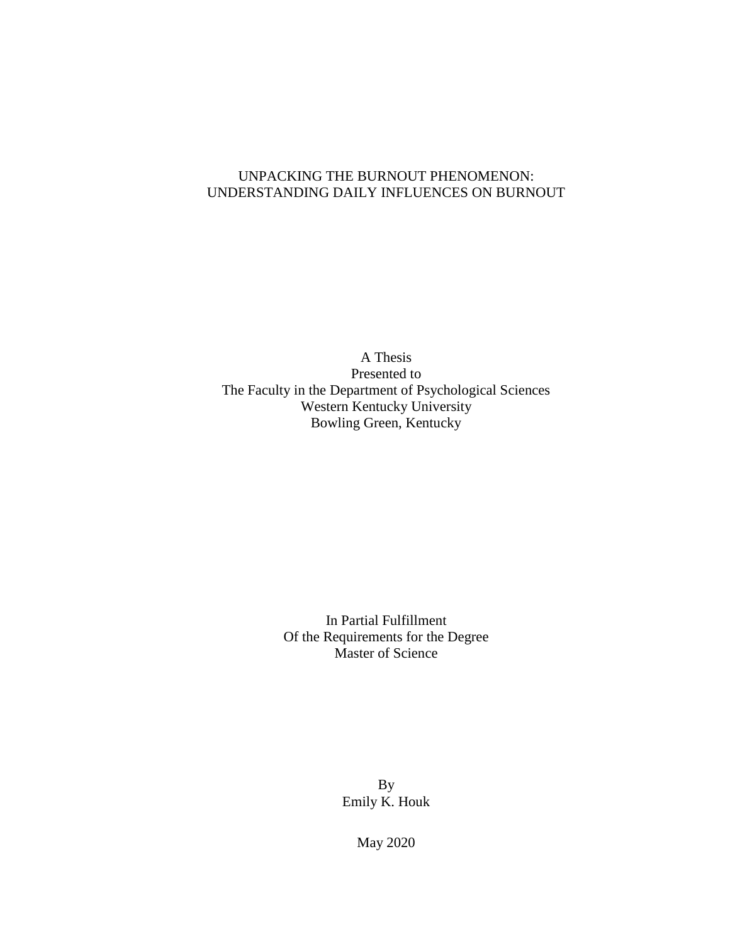### UNPACKING THE BURNOUT PHENOMENON: UNDERSTANDING DAILY INFLUENCES ON BURNOUT

A Thesis Presented to The Faculty in the Department of Psychological Sciences Western Kentucky University Bowling Green, Kentucky

> In Partial Fulfillment Of the Requirements for the Degree Master of Science

> > By Emily K. Houk

> > > May 2020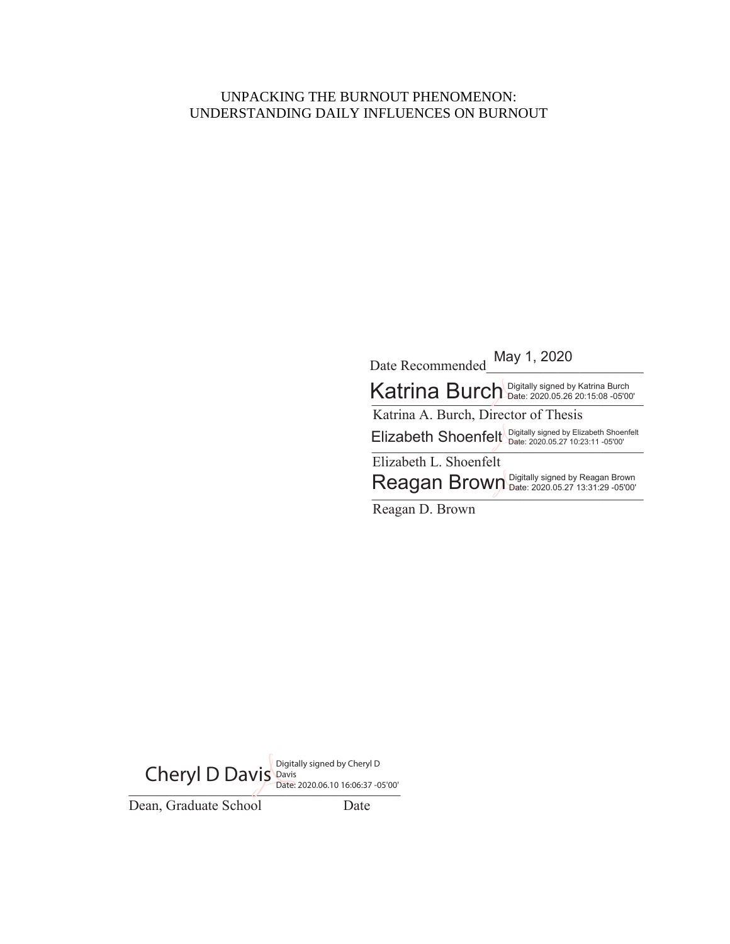### UNPACKING THE BURNOUT PHENOMENON: UNDERSTANDING DAILY INFLUENCES ON BURNOUT

Date Recommended May 1, 2020 Katrina Burch Digitally signed by Katrina Burch Katrina A. Burch, Director of Thesis Elizabeth Shoenfelt *Digitally signed by Elizabeth Shoenfelt*<br>- Display to 23:11 -05'00' Elizabeth L. Shoenfelt Reagan Brown Digitally signed by Reagan Brown<br>
- All Brown Date: 2020.05.27 13:31:29 -05'00'

Reagan D. Brown

Date: 2020.06.10 16:06:37 -05'00' Dean, Graduate School Date Cheryl D Davis Digitally signed by Cheryl D Date: 2020.06.10 16:06:37 -05'00'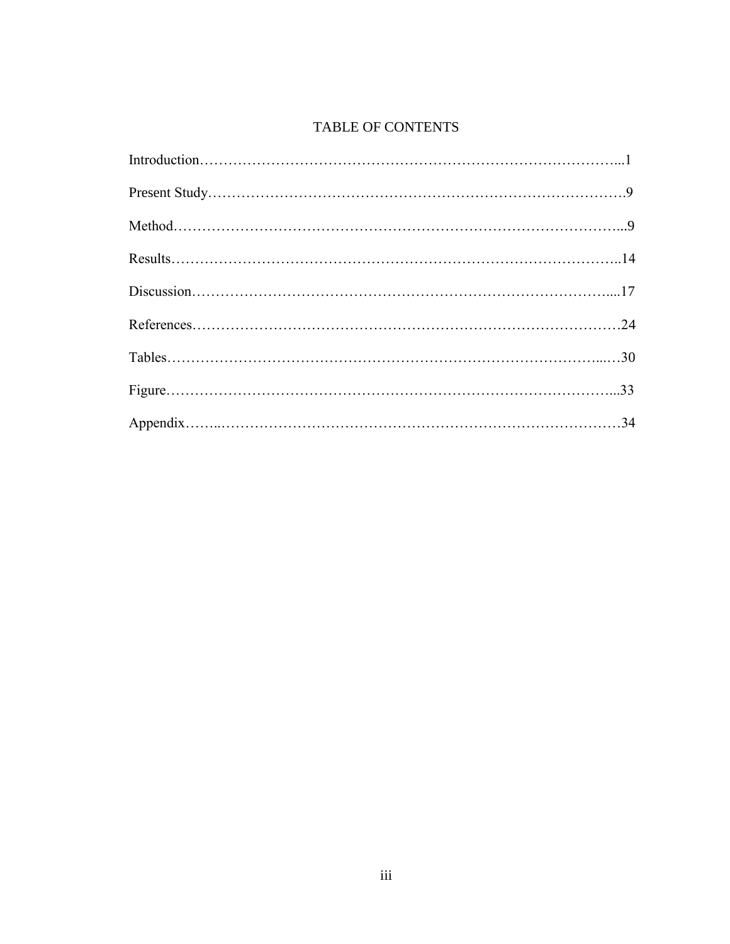# TABLE OF CONTENTS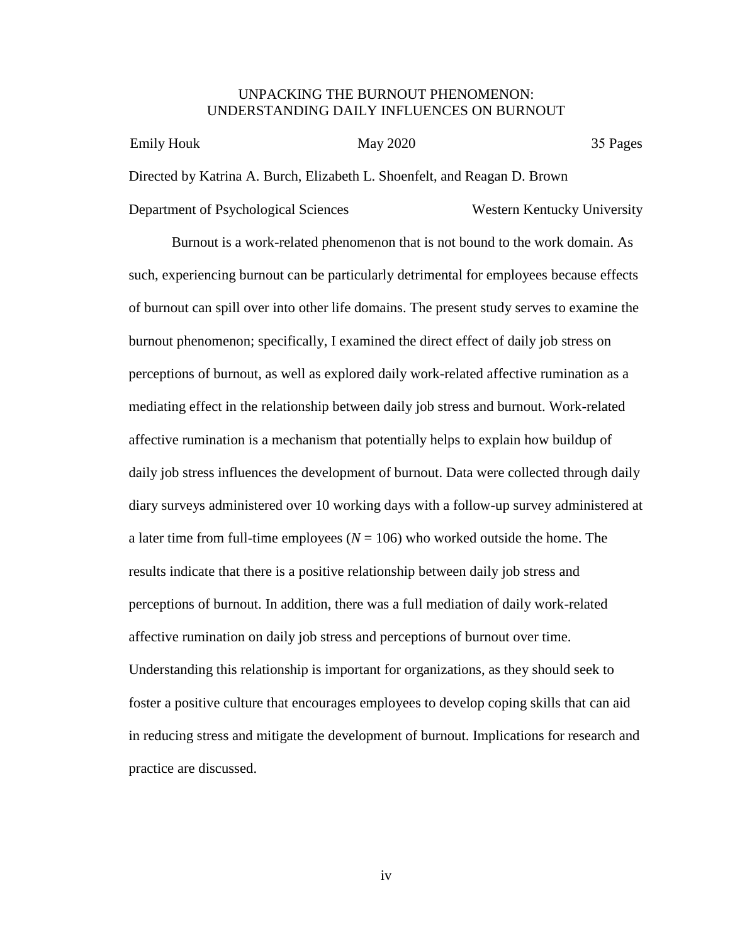#### UNPACKING THE BURNOUT PHENOMENON: UNDERSTANDING DAILY INFLUENCES ON BURNOUT

| Emily Houk                           | May 2020                                                                  |                             | 35 Pages |
|--------------------------------------|---------------------------------------------------------------------------|-----------------------------|----------|
|                                      | Directed by Katrina A. Burch, Elizabeth L. Shoenfelt, and Reagan D. Brown |                             |          |
| Department of Psychological Sciences |                                                                           | Western Kentucky University |          |

Burnout is a work-related phenomenon that is not bound to the work domain. As such, experiencing burnout can be particularly detrimental for employees because effects of burnout can spill over into other life domains. The present study serves to examine the burnout phenomenon; specifically, I examined the direct effect of daily job stress on perceptions of burnout, as well as explored daily work-related affective rumination as a mediating effect in the relationship between daily job stress and burnout. Work-related affective rumination is a mechanism that potentially helps to explain how buildup of daily job stress influences the development of burnout. Data were collected through daily diary surveys administered over 10 working days with a follow-up survey administered at a later time from full-time employees ( $N = 106$ ) who worked outside the home. The results indicate that there is a positive relationship between daily job stress and perceptions of burnout. In addition, there was a full mediation of daily work-related affective rumination on daily job stress and perceptions of burnout over time. Understanding this relationship is important for organizations, as they should seek to foster a positive culture that encourages employees to develop coping skills that can aid in reducing stress and mitigate the development of burnout. Implications for research and practice are discussed.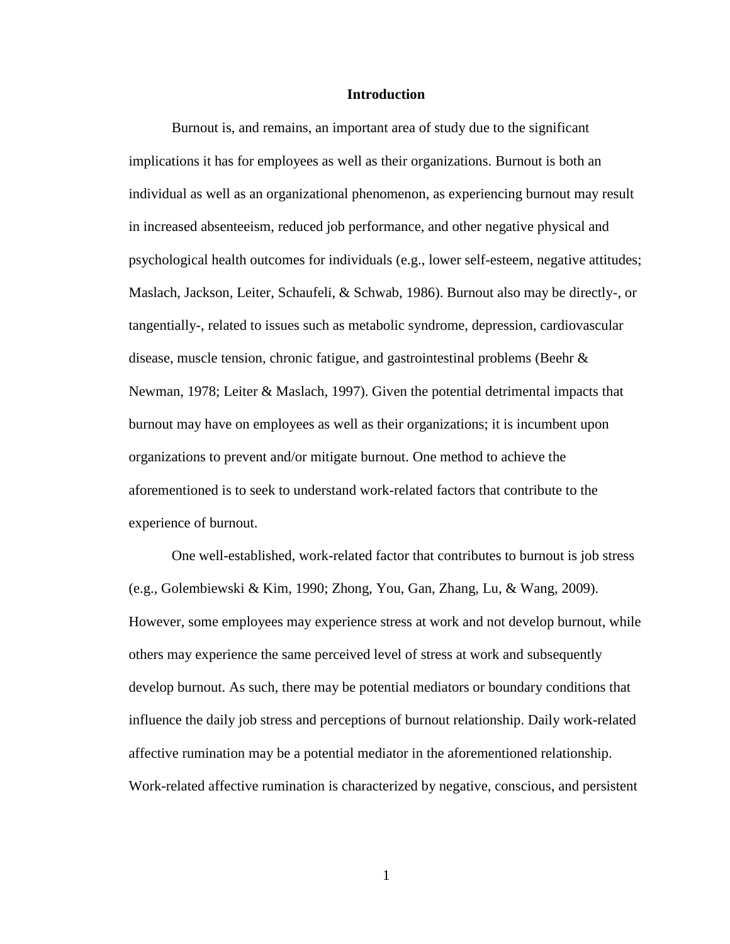#### **Introduction**

Burnout is, and remains, an important area of study due to the significant implications it has for employees as well as their organizations. Burnout is both an individual as well as an organizational phenomenon, as experiencing burnout may result in increased absenteeism, reduced job performance, and other negative physical and psychological health outcomes for individuals (e.g., lower self-esteem, negative attitudes; Maslach, Jackson, Leiter, Schaufeli, & Schwab, 1986). Burnout also may be directly-, or tangentially-, related to issues such as metabolic syndrome, depression, cardiovascular disease, muscle tension, chronic fatigue, and gastrointestinal problems (Beehr  $\&$ Newman, 1978; Leiter & Maslach, 1997). Given the potential detrimental impacts that burnout may have on employees as well as their organizations; it is incumbent upon organizations to prevent and/or mitigate burnout. One method to achieve the aforementioned is to seek to understand work-related factors that contribute to the experience of burnout.

One well-established, work-related factor that contributes to burnout is job stress (e.g., Golembiewski & Kim, 1990; Zhong, You, Gan, Zhang, Lu, & Wang, 2009). However, some employees may experience stress at work and not develop burnout, while others may experience the same perceived level of stress at work and subsequently develop burnout. As such, there may be potential mediators or boundary conditions that influence the daily job stress and perceptions of burnout relationship. Daily work-related affective rumination may be a potential mediator in the aforementioned relationship. Work-related affective rumination is characterized by negative, conscious, and persistent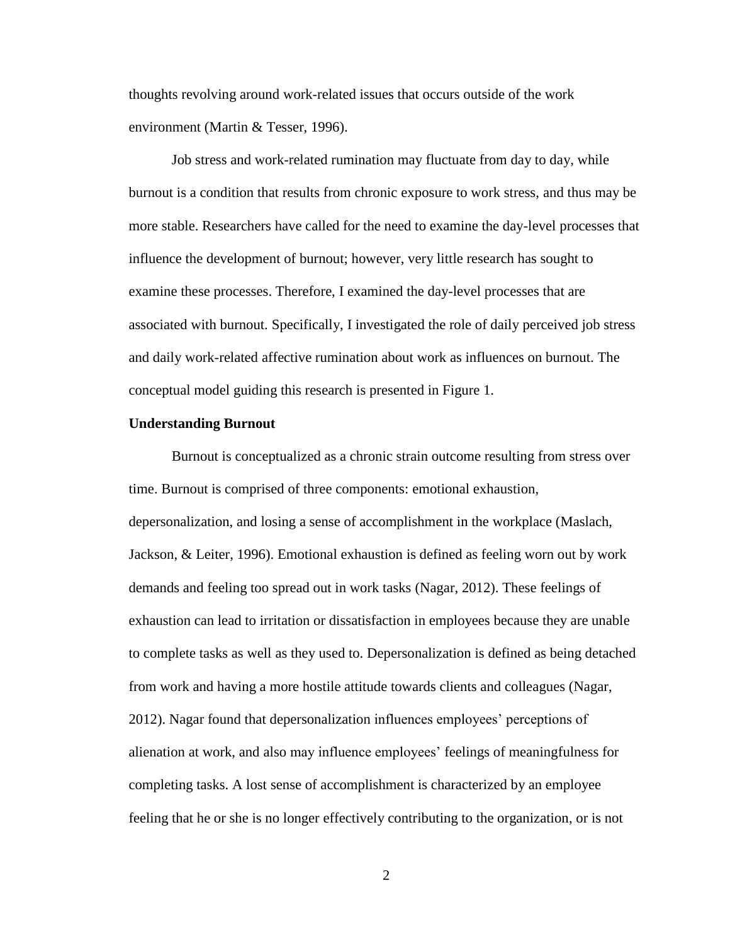thoughts revolving around work-related issues that occurs outside of the work environment (Martin & Tesser, 1996).

Job stress and work-related rumination may fluctuate from day to day, while burnout is a condition that results from chronic exposure to work stress, and thus may be more stable. Researchers have called for the need to examine the day-level processes that influence the development of burnout; however, very little research has sought to examine these processes. Therefore, I examined the day-level processes that are associated with burnout. Specifically, I investigated the role of daily perceived job stress and daily work-related affective rumination about work as influences on burnout. The conceptual model guiding this research is presented in Figure 1.

#### **Understanding Burnout**

Burnout is conceptualized as a chronic strain outcome resulting from stress over time. Burnout is comprised of three components: emotional exhaustion, depersonalization, and losing a sense of accomplishment in the workplace (Maslach, Jackson, & Leiter, 1996). Emotional exhaustion is defined as feeling worn out by work demands and feeling too spread out in work tasks (Nagar, 2012). These feelings of exhaustion can lead to irritation or dissatisfaction in employees because they are unable to complete tasks as well as they used to. Depersonalization is defined as being detached from work and having a more hostile attitude towards clients and colleagues (Nagar, 2012). Nagar found that depersonalization influences employees' perceptions of alienation at work, and also may influence employees' feelings of meaningfulness for completing tasks. A lost sense of accomplishment is characterized by an employee feeling that he or she is no longer effectively contributing to the organization, or is not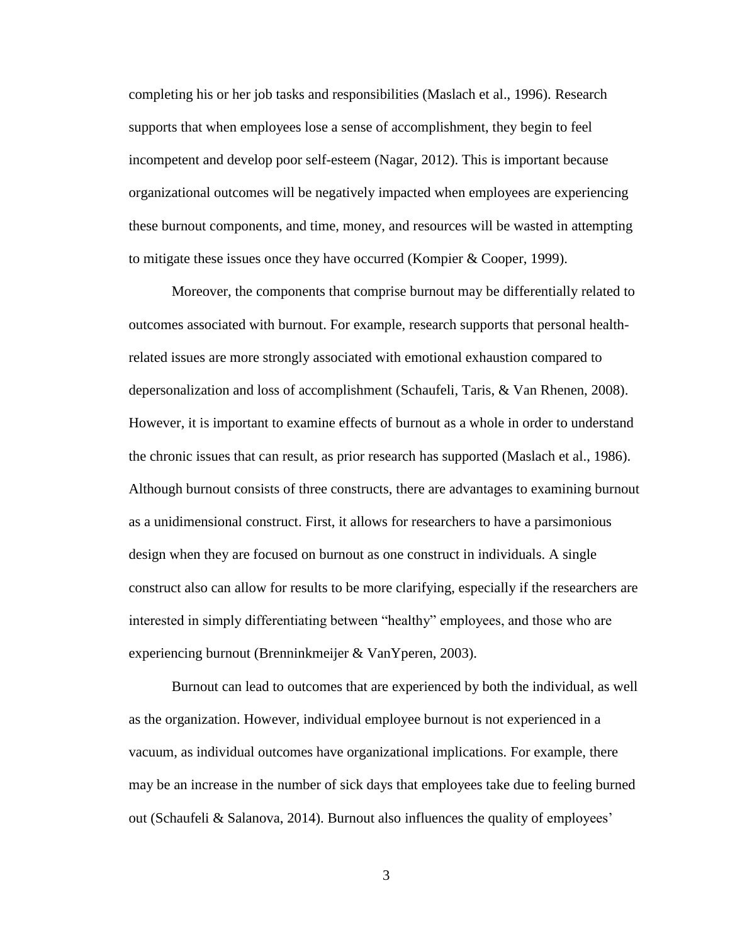completing his or her job tasks and responsibilities (Maslach et al., 1996). Research supports that when employees lose a sense of accomplishment, they begin to feel incompetent and develop poor self-esteem (Nagar, 2012). This is important because organizational outcomes will be negatively impacted when employees are experiencing these burnout components, and time, money, and resources will be wasted in attempting to mitigate these issues once they have occurred (Kompier & Cooper, 1999).

Moreover, the components that comprise burnout may be differentially related to outcomes associated with burnout. For example, research supports that personal healthrelated issues are more strongly associated with emotional exhaustion compared to depersonalization and loss of accomplishment (Schaufeli, Taris, & Van Rhenen, 2008). However, it is important to examine effects of burnout as a whole in order to understand the chronic issues that can result, as prior research has supported (Maslach et al., 1986). Although burnout consists of three constructs, there are advantages to examining burnout as a unidimensional construct. First, it allows for researchers to have a parsimonious design when they are focused on burnout as one construct in individuals. A single construct also can allow for results to be more clarifying, especially if the researchers are interested in simply differentiating between "healthy" employees, and those who are experiencing burnout (Brenninkmeijer & VanYperen, 2003).

Burnout can lead to outcomes that are experienced by both the individual, as well as the organization. However, individual employee burnout is not experienced in a vacuum, as individual outcomes have organizational implications. For example, there may be an increase in the number of sick days that employees take due to feeling burned out (Schaufeli & Salanova, 2014). Burnout also influences the quality of employees'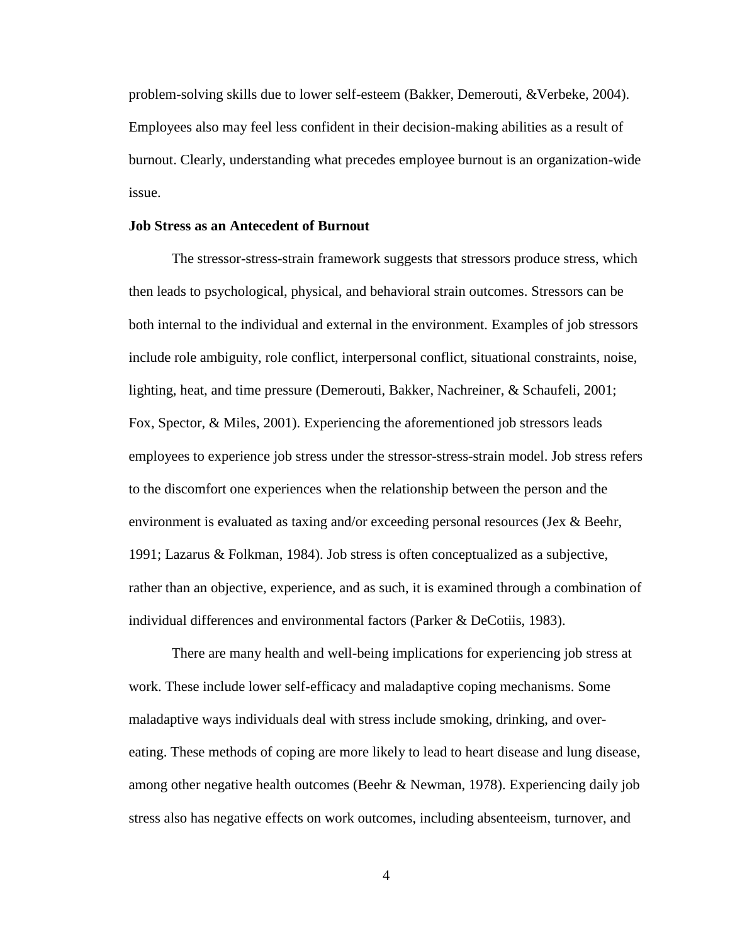problem-solving skills due to lower self-esteem (Bakker, Demerouti, &Verbeke, 2004). Employees also may feel less confident in their decision-making abilities as a result of burnout. Clearly, understanding what precedes employee burnout is an organization-wide issue.

#### **Job Stress as an Antecedent of Burnout**

The stressor-stress-strain framework suggests that stressors produce stress, which then leads to psychological, physical, and behavioral strain outcomes. Stressors can be both internal to the individual and external in the environment. Examples of job stressors include role ambiguity, role conflict, interpersonal conflict, situational constraints, noise, lighting, heat, and time pressure (Demerouti, Bakker, Nachreiner, & Schaufeli, 2001; Fox, Spector, & Miles, 2001). Experiencing the aforementioned job stressors leads employees to experience job stress under the stressor-stress-strain model. Job stress refers to the discomfort one experiences when the relationship between the person and the environment is evaluated as taxing and/or exceeding personal resources (Jex  $\&$  Beehr, 1991; Lazarus & Folkman, 1984). Job stress is often conceptualized as a subjective, rather than an objective, experience, and as such, it is examined through a combination of individual differences and environmental factors (Parker & DeCotiis, 1983).

There are many health and well-being implications for experiencing job stress at work. These include lower self-efficacy and maladaptive coping mechanisms. Some maladaptive ways individuals deal with stress include smoking, drinking, and overeating. These methods of coping are more likely to lead to heart disease and lung disease, among other negative health outcomes (Beehr & Newman, 1978). Experiencing daily job stress also has negative effects on work outcomes, including absenteeism, turnover, and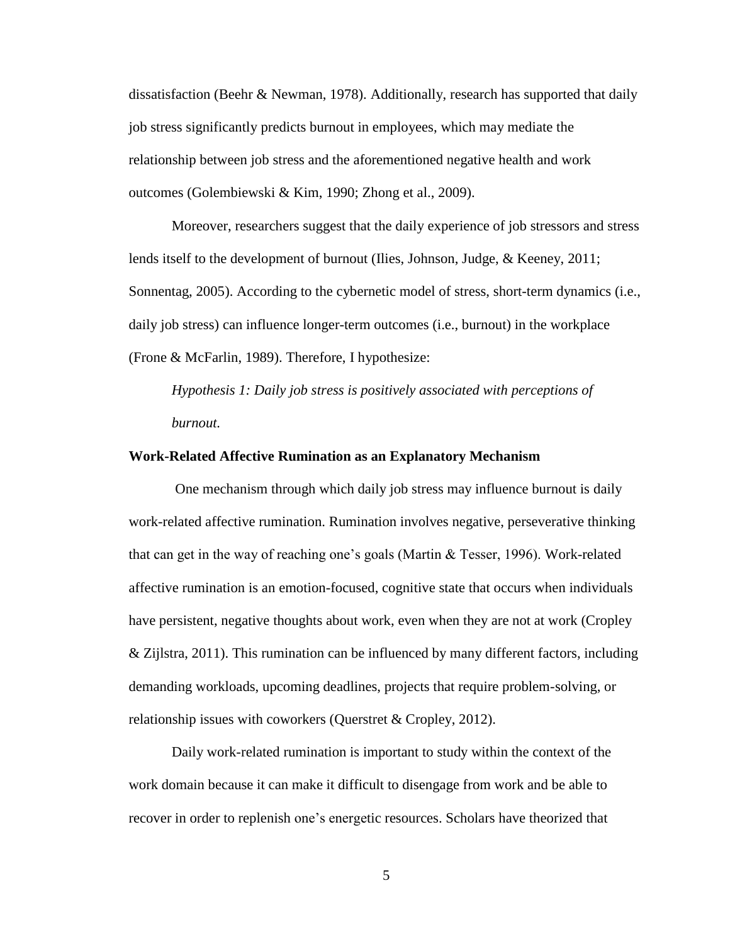dissatisfaction (Beehr & Newman, 1978). Additionally, research has supported that daily job stress significantly predicts burnout in employees, which may mediate the relationship between job stress and the aforementioned negative health and work outcomes (Golembiewski & Kim, 1990; Zhong et al., 2009).

Moreover, researchers suggest that the daily experience of job stressors and stress lends itself to the development of burnout (Ilies, Johnson, Judge, & Keeney, 2011; Sonnentag, 2005). According to the cybernetic model of stress, short-term dynamics (i.e., daily job stress) can influence longer-term outcomes (i.e., burnout) in the workplace (Frone & McFarlin, 1989). Therefore, I hypothesize:

*Hypothesis 1: Daily job stress is positively associated with perceptions of burnout.*

#### **Work-Related Affective Rumination as an Explanatory Mechanism**

One mechanism through which daily job stress may influence burnout is daily work-related affective rumination. Rumination involves negative, perseverative thinking that can get in the way of reaching one's goals (Martin & Tesser, 1996). Work-related affective rumination is an emotion-focused, cognitive state that occurs when individuals have persistent, negative thoughts about work, even when they are not at work (Cropley & Zijlstra, 2011). This rumination can be influenced by many different factors, including demanding workloads, upcoming deadlines, projects that require problem-solving, or relationship issues with coworkers (Querstret & Cropley, 2012).

Daily work-related rumination is important to study within the context of the work domain because it can make it difficult to disengage from work and be able to recover in order to replenish one's energetic resources. Scholars have theorized that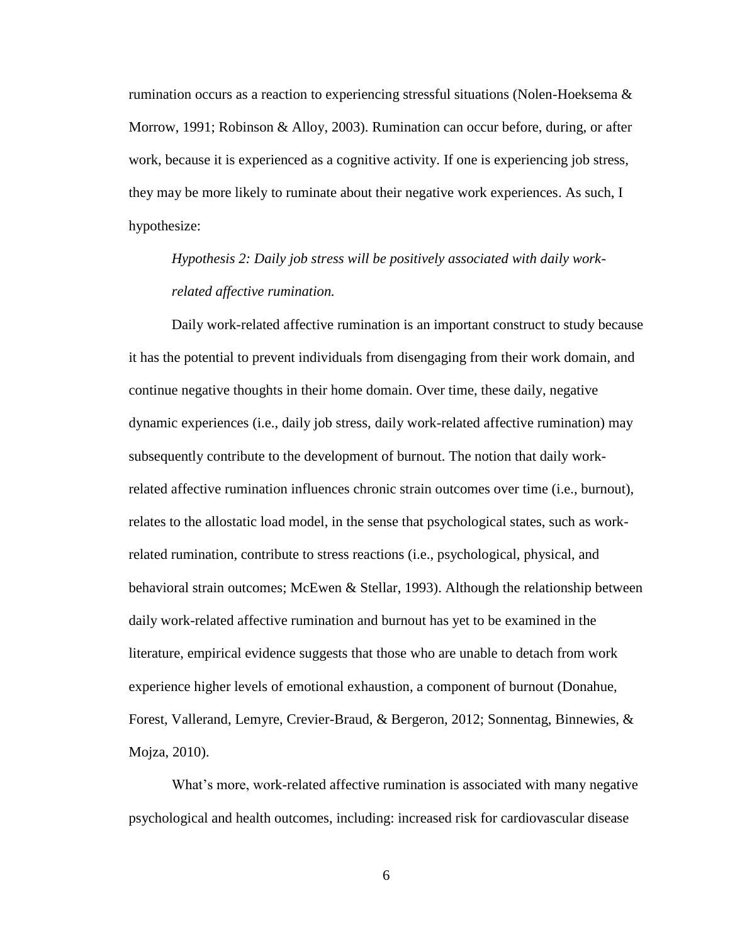rumination occurs as a reaction to experiencing stressful situations (Nolen-Hoeksema  $\&$ Morrow, 1991; Robinson & Alloy, 2003). Rumination can occur before, during, or after work, because it is experienced as a cognitive activity. If one is experiencing job stress, they may be more likely to ruminate about their negative work experiences. As such, I hypothesize:

*Hypothesis 2: Daily job stress will be positively associated with daily workrelated affective rumination.*

Daily work-related affective rumination is an important construct to study because it has the potential to prevent individuals from disengaging from their work domain, and continue negative thoughts in their home domain. Over time, these daily, negative dynamic experiences (i.e., daily job stress, daily work-related affective rumination) may subsequently contribute to the development of burnout. The notion that daily workrelated affective rumination influences chronic strain outcomes over time (i.e., burnout), relates to the allostatic load model, in the sense that psychological states, such as workrelated rumination, contribute to stress reactions (i.e., psychological, physical, and behavioral strain outcomes; McEwen & Stellar, 1993). Although the relationship between daily work-related affective rumination and burnout has yet to be examined in the literature, empirical evidence suggests that those who are unable to detach from work experience higher levels of emotional exhaustion, a component of burnout (Donahue, Forest, Vallerand, Lemyre, Crevier-Braud, & Bergeron, 2012; Sonnentag, Binnewies, & Mojza, 2010).

What's more, work-related affective rumination is associated with many negative psychological and health outcomes, including: increased risk for cardiovascular disease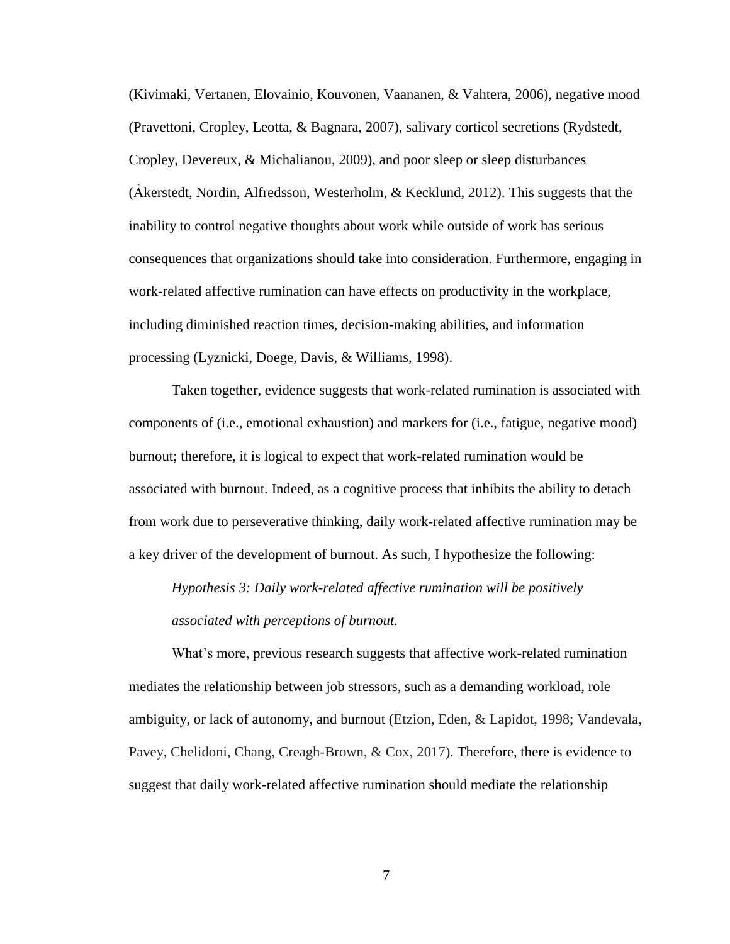(Kivimaki, Vertanen, Elovainio, Kouvonen, Vaananen, & Vahtera, 2006), negative mood (Pravettoni, Cropley, Leotta, & Bagnara, 2007), salivary corticol secretions (Rydstedt, Cropley, Devereux, & Michalianou, 2009), and poor sleep or sleep disturbances (Ấkerstedt, Nordin, Alfredsson, Westerholm, & Kecklund, 2012). This suggests that the inability to control negative thoughts about work while outside of work has serious consequences that organizations should take into consideration. Furthermore, engaging in work-related affective rumination can have effects on productivity in the workplace, including diminished reaction times, decision-making abilities, and information processing (Lyznicki, Doege, Davis, & Williams, 1998).

Taken together, evidence suggests that work-related rumination is associated with components of (i.e., emotional exhaustion) and markers for (i.e., fatigue, negative mood) burnout; therefore, it is logical to expect that work-related rumination would be associated with burnout. Indeed, as a cognitive process that inhibits the ability to detach from work due to perseverative thinking, daily work-related affective rumination may be a key driver of the development of burnout. As such, I hypothesize the following:

*Hypothesis 3: Daily work-related affective rumination will be positively associated with perceptions of burnout.*

What's more, previous research suggests that affective work-related rumination mediates the relationship between job stressors, such as a demanding workload, role ambiguity, or lack of autonomy, and burnout (Etzion, Eden, & Lapidot, 1998; Vandevala, Pavey, Chelidoni, Chang, Creagh-Brown, & Cox, 2017). Therefore, there is evidence to suggest that daily work-related affective rumination should mediate the relationship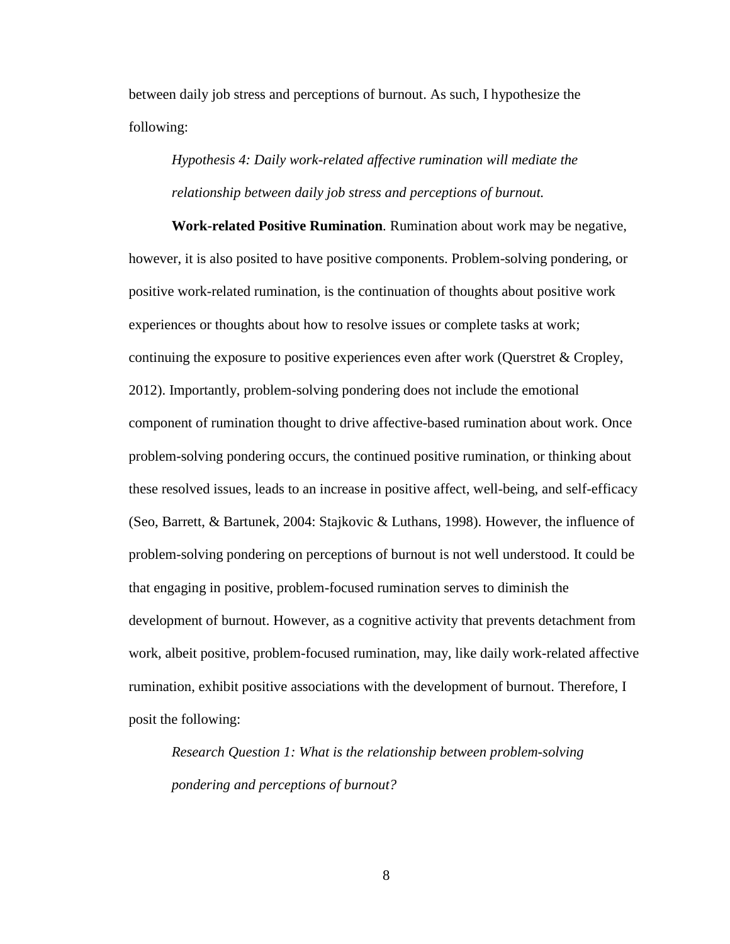between daily job stress and perceptions of burnout. As such, I hypothesize the following:

*Hypothesis 4: Daily work-related affective rumination will mediate the relationship between daily job stress and perceptions of burnout.* 

**Work-related Positive Rumination***.* Rumination about work may be negative, however, it is also posited to have positive components. Problem-solving pondering, or positive work-related rumination, is the continuation of thoughts about positive work experiences or thoughts about how to resolve issues or complete tasks at work; continuing the exposure to positive experiences even after work (Querstret & Cropley, 2012). Importantly, problem-solving pondering does not include the emotional component of rumination thought to drive affective-based rumination about work. Once problem-solving pondering occurs, the continued positive rumination, or thinking about these resolved issues, leads to an increase in positive affect, well-being, and self-efficacy (Seo, Barrett, & Bartunek, 2004: Stajkovic & Luthans, 1998). However, the influence of problem-solving pondering on perceptions of burnout is not well understood. It could be that engaging in positive, problem-focused rumination serves to diminish the development of burnout. However, as a cognitive activity that prevents detachment from work, albeit positive, problem-focused rumination, may, like daily work-related affective rumination, exhibit positive associations with the development of burnout. Therefore, I posit the following:

*Research Question 1: What is the relationship between problem-solving pondering and perceptions of burnout?*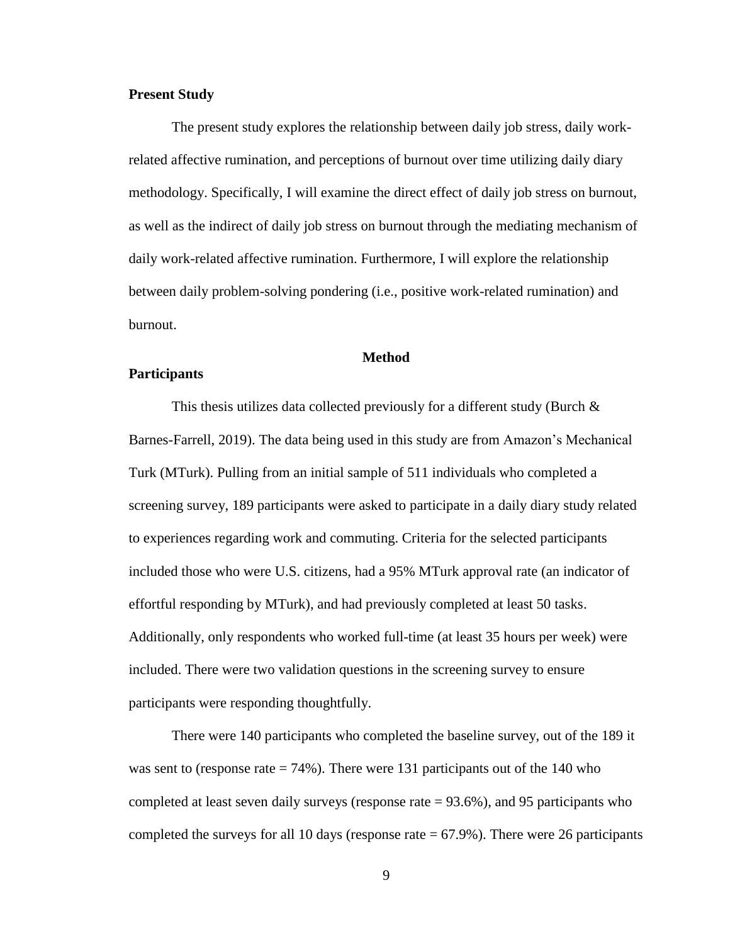#### **Present Study**

The present study explores the relationship between daily job stress, daily workrelated affective rumination, and perceptions of burnout over time utilizing daily diary methodology. Specifically, I will examine the direct effect of daily job stress on burnout, as well as the indirect of daily job stress on burnout through the mediating mechanism of daily work-related affective rumination. Furthermore, I will explore the relationship between daily problem-solving pondering (i.e., positive work-related rumination) and burnout.

#### **Method**

#### **Participants**

This thesis utilizes data collected previously for a different study (Burch & Barnes-Farrell, 2019). The data being used in this study are from Amazon's Mechanical Turk (MTurk). Pulling from an initial sample of 511 individuals who completed a screening survey, 189 participants were asked to participate in a daily diary study related to experiences regarding work and commuting. Criteria for the selected participants included those who were U.S. citizens, had a 95% MTurk approval rate (an indicator of effortful responding by MTurk), and had previously completed at least 50 tasks. Additionally, only respondents who worked full-time (at least 35 hours per week) were included. There were two validation questions in the screening survey to ensure participants were responding thoughtfully.

There were 140 participants who completed the baseline survey, out of the 189 it was sent to (response rate  $= 74\%$ ). There were 131 participants out of the 140 who completed at least seven daily surveys (response rate = 93.6%), and 95 participants who completed the surveys for all 10 days (response rate  $= 67.9\%$ ). There were 26 participants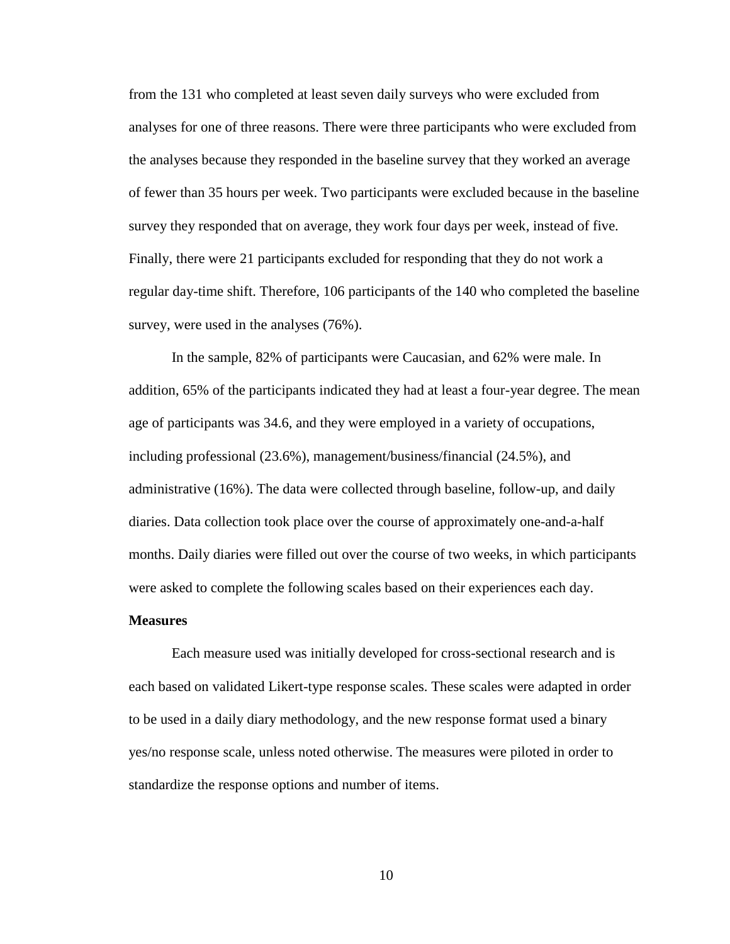from the 131 who completed at least seven daily surveys who were excluded from analyses for one of three reasons. There were three participants who were excluded from the analyses because they responded in the baseline survey that they worked an average of fewer than 35 hours per week. Two participants were excluded because in the baseline survey they responded that on average, they work four days per week, instead of five. Finally, there were 21 participants excluded for responding that they do not work a regular day-time shift. Therefore, 106 participants of the 140 who completed the baseline survey, were used in the analyses (76%).

In the sample, 82% of participants were Caucasian, and 62% were male. In addition, 65% of the participants indicated they had at least a four-year degree. The mean age of participants was 34.6, and they were employed in a variety of occupations, including professional (23.6%), management/business/financial (24.5%), and administrative (16%). The data were collected through baseline, follow-up, and daily diaries. Data collection took place over the course of approximately one-and-a-half months. Daily diaries were filled out over the course of two weeks, in which participants were asked to complete the following scales based on their experiences each day.

#### **Measures**

Each measure used was initially developed for cross-sectional research and is each based on validated Likert-type response scales. These scales were adapted in order to be used in a daily diary methodology, and the new response format used a binary yes/no response scale, unless noted otherwise. The measures were piloted in order to standardize the response options and number of items.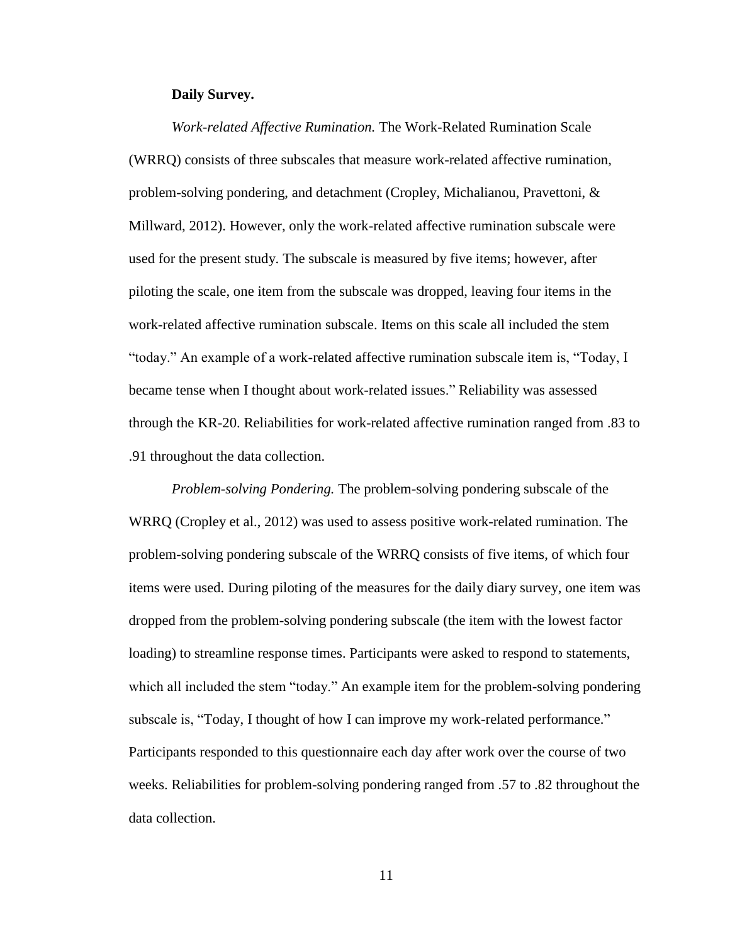#### **Daily Survey.**

*Work-related Affective Rumination.* The Work-Related Rumination Scale (WRRQ) consists of three subscales that measure work-related affective rumination, problem-solving pondering, and detachment (Cropley, Michalianou, Pravettoni, & Millward, 2012). However, only the work-related affective rumination subscale were used for the present study. The subscale is measured by five items; however, after piloting the scale, one item from the subscale was dropped, leaving four items in the work-related affective rumination subscale. Items on this scale all included the stem "today." An example of a work-related affective rumination subscale item is, "Today, I became tense when I thought about work-related issues." Reliability was assessed through the KR-20. Reliabilities for work-related affective rumination ranged from .83 to .91 throughout the data collection.

*Problem-solving Pondering.* The problem-solving pondering subscale of the WRRQ (Cropley et al., 2012) was used to assess positive work-related rumination. The problem-solving pondering subscale of the WRRQ consists of five items, of which four items were used. During piloting of the measures for the daily diary survey, one item was dropped from the problem-solving pondering subscale (the item with the lowest factor loading) to streamline response times. Participants were asked to respond to statements, which all included the stem "today." An example item for the problem-solving pondering subscale is, "Today, I thought of how I can improve my work-related performance." Participants responded to this questionnaire each day after work over the course of two weeks. Reliabilities for problem-solving pondering ranged from .57 to .82 throughout the data collection.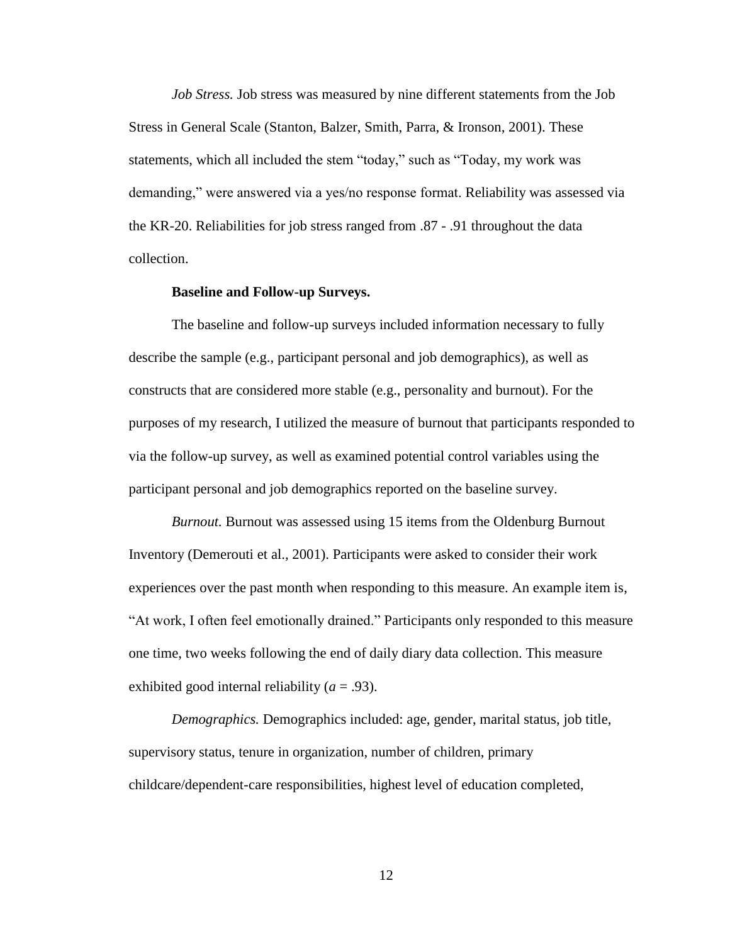*Job Stress.* Job stress was measured by nine different statements from the Job Stress in General Scale (Stanton, Balzer, Smith, Parra, & Ironson, 2001). These statements, which all included the stem "today," such as "Today, my work was demanding," were answered via a yes/no response format. Reliability was assessed via the KR-20. Reliabilities for job stress ranged from .87 - .91 throughout the data collection.

#### **Baseline and Follow-up Surveys.**

The baseline and follow-up surveys included information necessary to fully describe the sample (e.g., participant personal and job demographics), as well as constructs that are considered more stable (e.g., personality and burnout). For the purposes of my research, I utilized the measure of burnout that participants responded to via the follow-up survey, as well as examined potential control variables using the participant personal and job demographics reported on the baseline survey.

*Burnout.* Burnout was assessed using 15 items from the Oldenburg Burnout Inventory (Demerouti et al., 2001). Participants were asked to consider their work experiences over the past month when responding to this measure. An example item is, "At work, I often feel emotionally drained." Participants only responded to this measure one time, two weeks following the end of daily diary data collection. This measure exhibited good internal reliability (*a* = .93).

*Demographics.* Demographics included: age, gender, marital status, job title, supervisory status, tenure in organization, number of children, primary childcare/dependent-care responsibilities, highest level of education completed,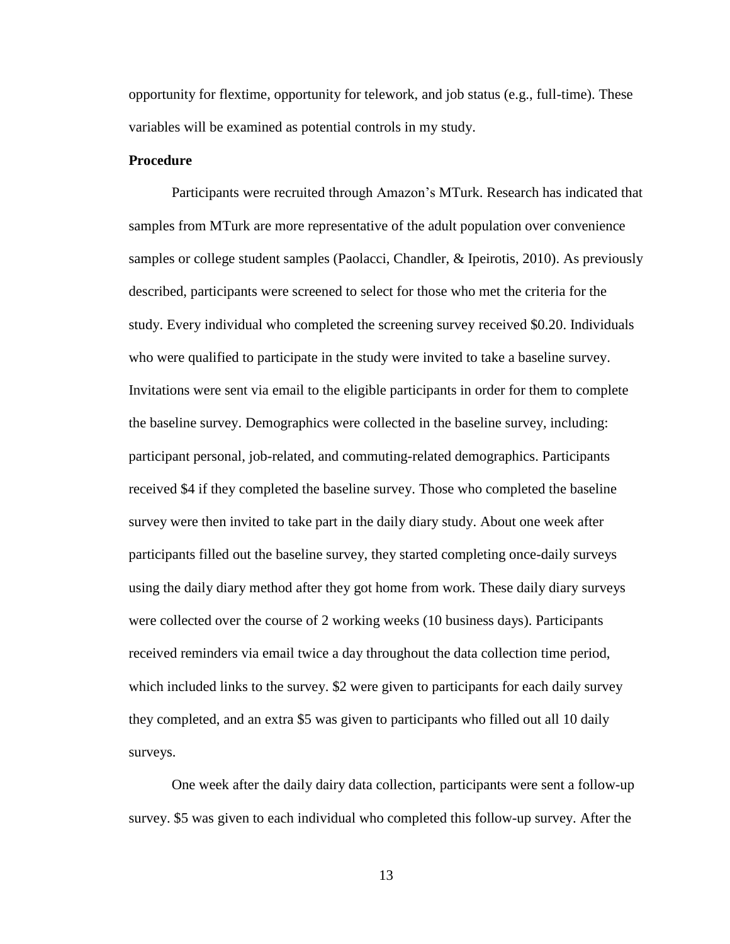opportunity for flextime, opportunity for telework, and job status (e.g., full-time). These variables will be examined as potential controls in my study.

#### **Procedure**

Participants were recruited through Amazon's MTurk. Research has indicated that samples from MTurk are more representative of the adult population over convenience samples or college student samples (Paolacci, Chandler, & Ipeirotis, 2010). As previously described, participants were screened to select for those who met the criteria for the study. Every individual who completed the screening survey received \$0.20. Individuals who were qualified to participate in the study were invited to take a baseline survey. Invitations were sent via email to the eligible participants in order for them to complete the baseline survey. Demographics were collected in the baseline survey, including: participant personal, job-related, and commuting-related demographics. Participants received \$4 if they completed the baseline survey. Those who completed the baseline survey were then invited to take part in the daily diary study. About one week after participants filled out the baseline survey, they started completing once-daily surveys using the daily diary method after they got home from work. These daily diary surveys were collected over the course of 2 working weeks (10 business days). Participants received reminders via email twice a day throughout the data collection time period, which included links to the survey. \$2 were given to participants for each daily survey they completed, and an extra \$5 was given to participants who filled out all 10 daily surveys.

One week after the daily dairy data collection, participants were sent a follow-up survey. \$5 was given to each individual who completed this follow-up survey. After the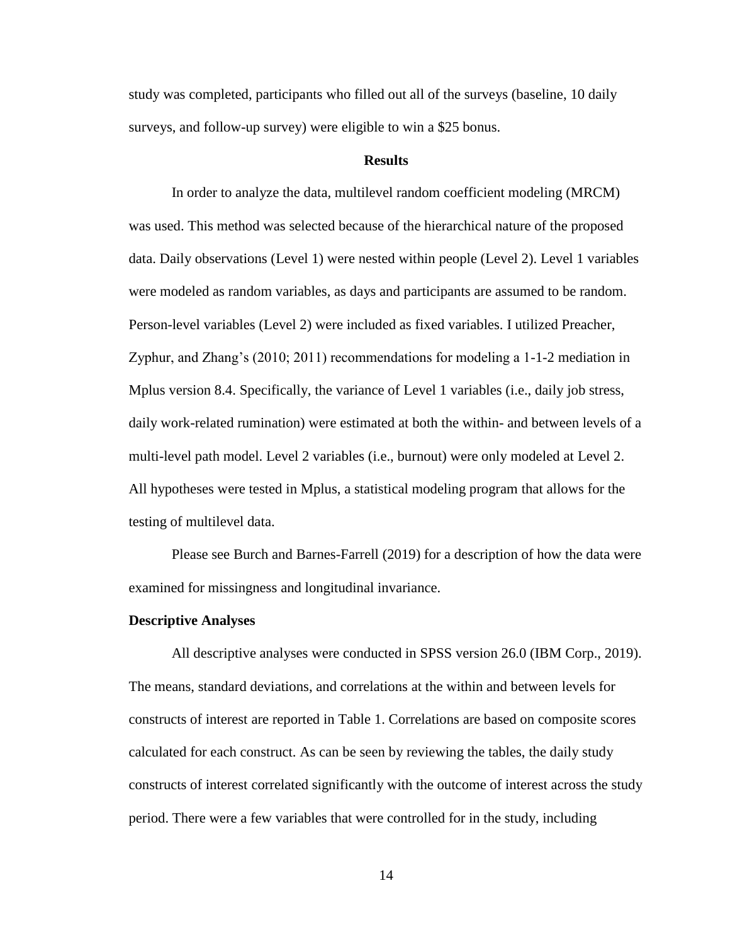study was completed, participants who filled out all of the surveys (baseline, 10 daily surveys, and follow-up survey) were eligible to win a \$25 bonus.

#### **Results**

In order to analyze the data, multilevel random coefficient modeling (MRCM) was used. This method was selected because of the hierarchical nature of the proposed data. Daily observations (Level 1) were nested within people (Level 2). Level 1 variables were modeled as random variables, as days and participants are assumed to be random. Person-level variables (Level 2) were included as fixed variables. I utilized Preacher, Zyphur, and Zhang's (2010; 2011) recommendations for modeling a 1-1-2 mediation in Mplus version 8.4. Specifically, the variance of Level 1 variables (i.e., daily job stress, daily work-related rumination) were estimated at both the within- and between levels of a multi-level path model. Level 2 variables (i.e., burnout) were only modeled at Level 2. All hypotheses were tested in Mplus, a statistical modeling program that allows for the testing of multilevel data.

Please see Burch and Barnes-Farrell (2019) for a description of how the data were examined for missingness and longitudinal invariance.

#### **Descriptive Analyses**

All descriptive analyses were conducted in SPSS version 26.0 (IBM Corp., 2019). The means, standard deviations, and correlations at the within and between levels for constructs of interest are reported in Table 1. Correlations are based on composite scores calculated for each construct. As can be seen by reviewing the tables, the daily study constructs of interest correlated significantly with the outcome of interest across the study period. There were a few variables that were controlled for in the study, including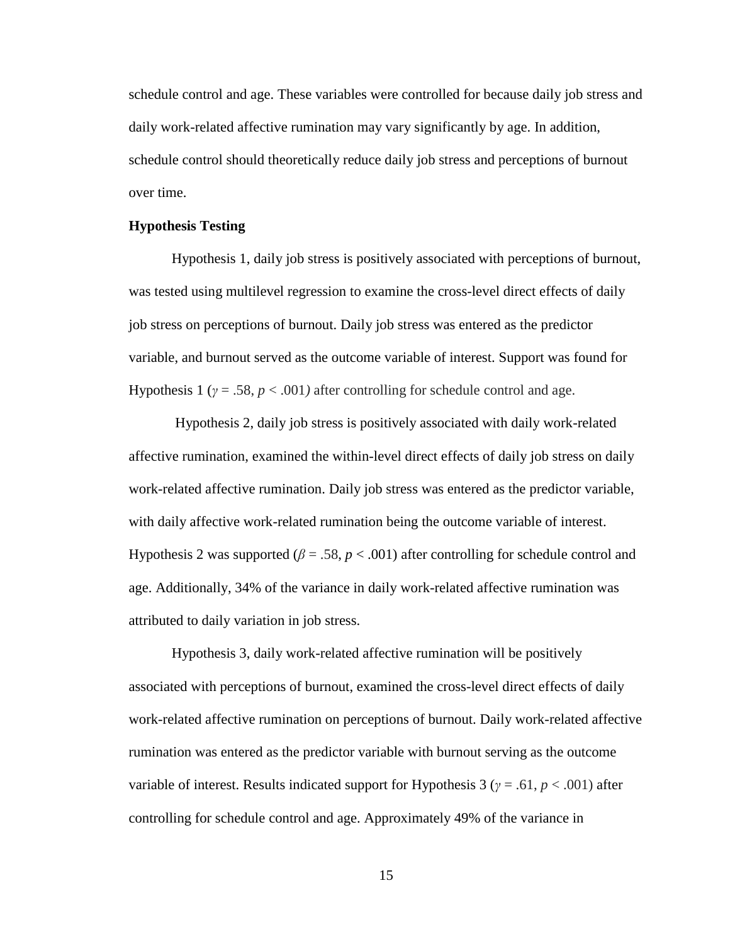schedule control and age. These variables were controlled for because daily job stress and daily work-related affective rumination may vary significantly by age. In addition, schedule control should theoretically reduce daily job stress and perceptions of burnout over time.

#### **Hypothesis Testing**

Hypothesis 1, daily job stress is positively associated with perceptions of burnout, was tested using multilevel regression to examine the cross-level direct effects of daily job stress on perceptions of burnout. Daily job stress was entered as the predictor variable, and burnout served as the outcome variable of interest. Support was found for Hypothesis 1 ( $\gamma = .58$ ,  $p < .001$ ) after controlling for schedule control and age.

Hypothesis 2, daily job stress is positively associated with daily work-related affective rumination, examined the within-level direct effects of daily job stress on daily work-related affective rumination. Daily job stress was entered as the predictor variable, with daily affective work-related rumination being the outcome variable of interest. Hypothesis 2 was supported ( $\beta$  = .58,  $p$  < .001) after controlling for schedule control and age. Additionally, 34% of the variance in daily work-related affective rumination was attributed to daily variation in job stress.

Hypothesis 3, daily work-related affective rumination will be positively associated with perceptions of burnout, examined the cross-level direct effects of daily work-related affective rumination on perceptions of burnout. Daily work-related affective rumination was entered as the predictor variable with burnout serving as the outcome variable of interest. Results indicated support for Hypothesis 3 ( $\gamma$  = .61,  $p$  < .001) after controlling for schedule control and age. Approximately 49% of the variance in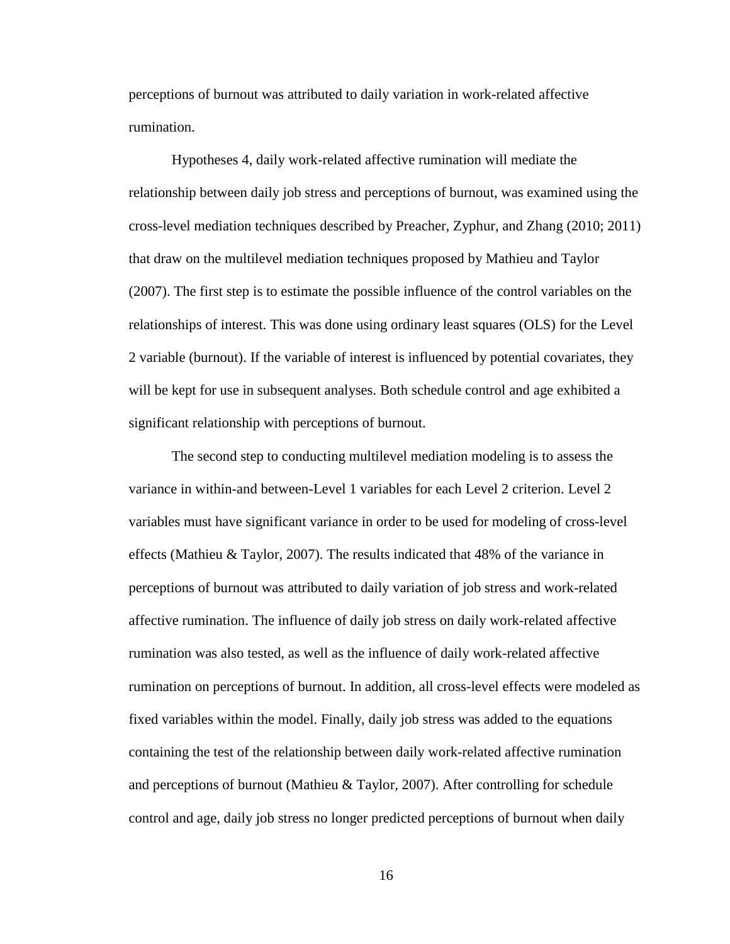perceptions of burnout was attributed to daily variation in work-related affective rumination.

Hypotheses 4, daily work-related affective rumination will mediate the relationship between daily job stress and perceptions of burnout, was examined using the cross-level mediation techniques described by Preacher, Zyphur, and Zhang (2010; 2011) that draw on the multilevel mediation techniques proposed by Mathieu and Taylor (2007). The first step is to estimate the possible influence of the control variables on the relationships of interest. This was done using ordinary least squares (OLS) for the Level 2 variable (burnout). If the variable of interest is influenced by potential covariates, they will be kept for use in subsequent analyses. Both schedule control and age exhibited a significant relationship with perceptions of burnout.

The second step to conducting multilevel mediation modeling is to assess the variance in within-and between-Level 1 variables for each Level 2 criterion. Level 2 variables must have significant variance in order to be used for modeling of cross-level effects (Mathieu & Taylor, 2007). The results indicated that 48% of the variance in perceptions of burnout was attributed to daily variation of job stress and work-related affective rumination. The influence of daily job stress on daily work-related affective rumination was also tested, as well as the influence of daily work-related affective rumination on perceptions of burnout. In addition, all cross-level effects were modeled as fixed variables within the model. Finally, daily job stress was added to the equations containing the test of the relationship between daily work-related affective rumination and perceptions of burnout (Mathieu & Taylor, 2007). After controlling for schedule control and age, daily job stress no longer predicted perceptions of burnout when daily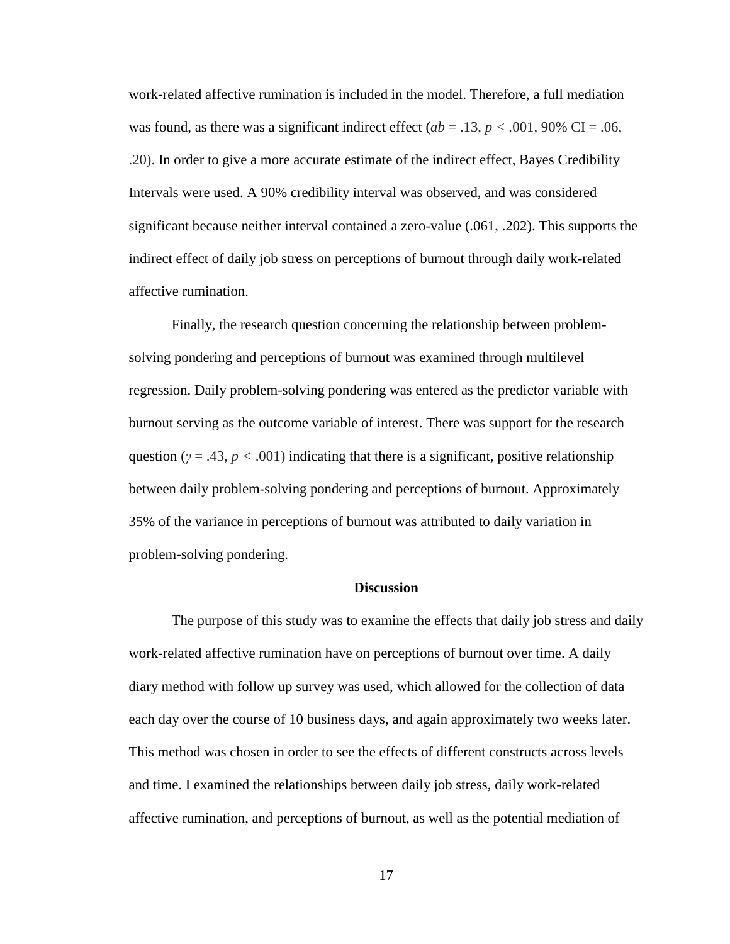work-related affective rumination is included in the model. Therefore, a full mediation was found, as there was a significant indirect effect ( $ab = .13$ ,  $p < .001$ , 90% CI = .06, .20). In order to give a more accurate estimate of the indirect effect, Bayes Credibility Intervals were used. A 90% credibility interval was observed, and was considered significant because neither interval contained a zero-value (.061, .202). This supports the indirect effect of daily job stress on perceptions of burnout through daily work-related affective rumination.

Finally, the research question concerning the relationship between problemsolving pondering and perceptions of burnout was examined through multilevel regression. Daily problem-solving pondering was entered as the predictor variable with burnout serving as the outcome variable of interest. There was support for the research question ( $\gamma = .43$ ,  $p < .001$ ) indicating that there is a significant, positive relationship between daily problem-solving pondering and perceptions of burnout. Approximately 35% of the variance in perceptions of burnout was attributed to daily variation in problem-solving pondering.

#### **Discussion**

The purpose of this study was to examine the effects that daily job stress and daily work-related affective rumination have on perceptions of burnout over time. A daily diary method with follow up survey was used, which allowed for the collection of data each day over the course of 10 business days, and again approximately two weeks later. This method was chosen in order to see the effects of different constructs across levels and time. I examined the relationships between daily job stress, daily work-related affective rumination, and perceptions of burnout, as well as the potential mediation of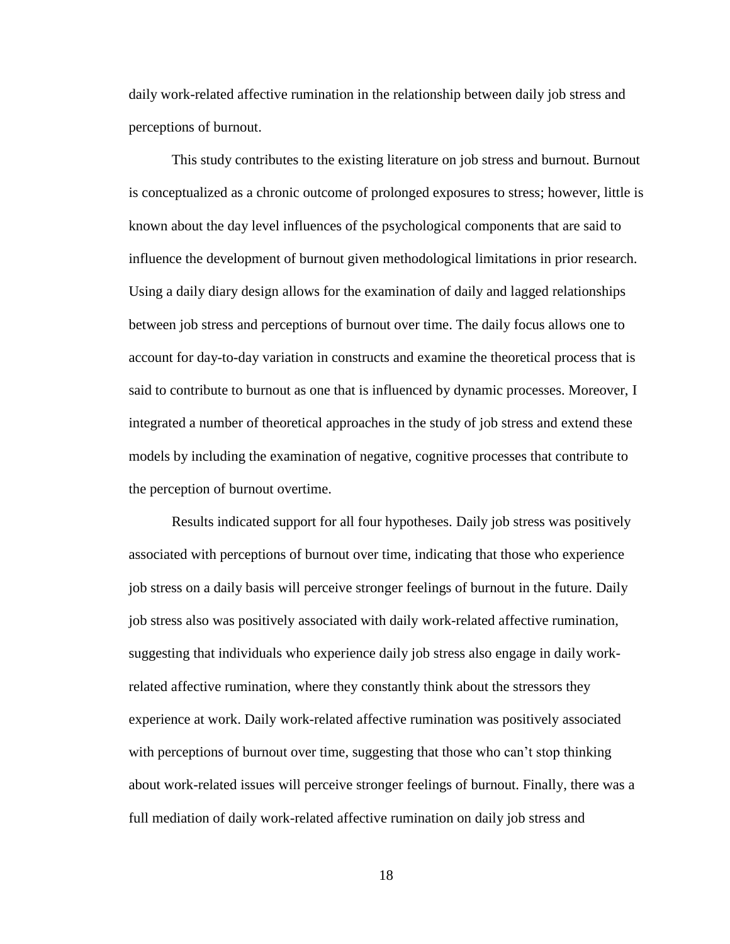daily work-related affective rumination in the relationship between daily job stress and perceptions of burnout.

This study contributes to the existing literature on job stress and burnout. Burnout is conceptualized as a chronic outcome of prolonged exposures to stress; however, little is known about the day level influences of the psychological components that are said to influence the development of burnout given methodological limitations in prior research. Using a daily diary design allows for the examination of daily and lagged relationships between job stress and perceptions of burnout over time. The daily focus allows one to account for day-to-day variation in constructs and examine the theoretical process that is said to contribute to burnout as one that is influenced by dynamic processes. Moreover, I integrated a number of theoretical approaches in the study of job stress and extend these models by including the examination of negative, cognitive processes that contribute to the perception of burnout overtime.

Results indicated support for all four hypotheses. Daily job stress was positively associated with perceptions of burnout over time, indicating that those who experience job stress on a daily basis will perceive stronger feelings of burnout in the future. Daily job stress also was positively associated with daily work-related affective rumination, suggesting that individuals who experience daily job stress also engage in daily workrelated affective rumination, where they constantly think about the stressors they experience at work. Daily work-related affective rumination was positively associated with perceptions of burnout over time, suggesting that those who can't stop thinking about work-related issues will perceive stronger feelings of burnout. Finally, there was a full mediation of daily work-related affective rumination on daily job stress and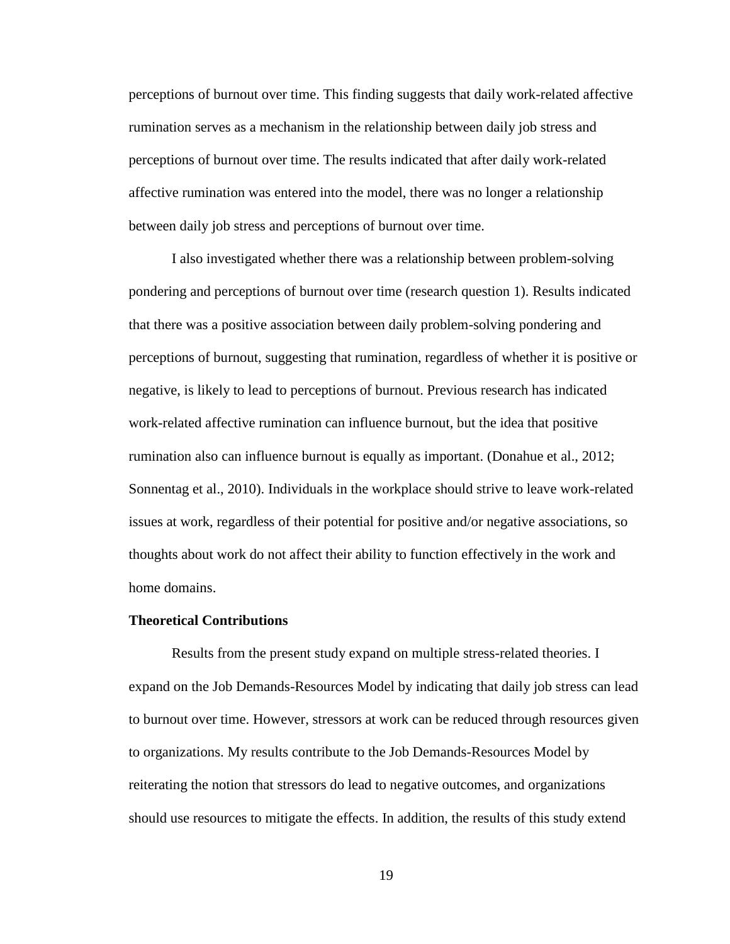perceptions of burnout over time. This finding suggests that daily work-related affective rumination serves as a mechanism in the relationship between daily job stress and perceptions of burnout over time. The results indicated that after daily work-related affective rumination was entered into the model, there was no longer a relationship between daily job stress and perceptions of burnout over time.

I also investigated whether there was a relationship between problem-solving pondering and perceptions of burnout over time (research question 1). Results indicated that there was a positive association between daily problem-solving pondering and perceptions of burnout, suggesting that rumination, regardless of whether it is positive or negative, is likely to lead to perceptions of burnout. Previous research has indicated work-related affective rumination can influence burnout, but the idea that positive rumination also can influence burnout is equally as important. (Donahue et al., 2012; Sonnentag et al., 2010). Individuals in the workplace should strive to leave work-related issues at work, regardless of their potential for positive and/or negative associations, so thoughts about work do not affect their ability to function effectively in the work and home domains.

#### **Theoretical Contributions**

Results from the present study expand on multiple stress-related theories. I expand on the Job Demands-Resources Model by indicating that daily job stress can lead to burnout over time. However, stressors at work can be reduced through resources given to organizations. My results contribute to the Job Demands-Resources Model by reiterating the notion that stressors do lead to negative outcomes, and organizations should use resources to mitigate the effects. In addition, the results of this study extend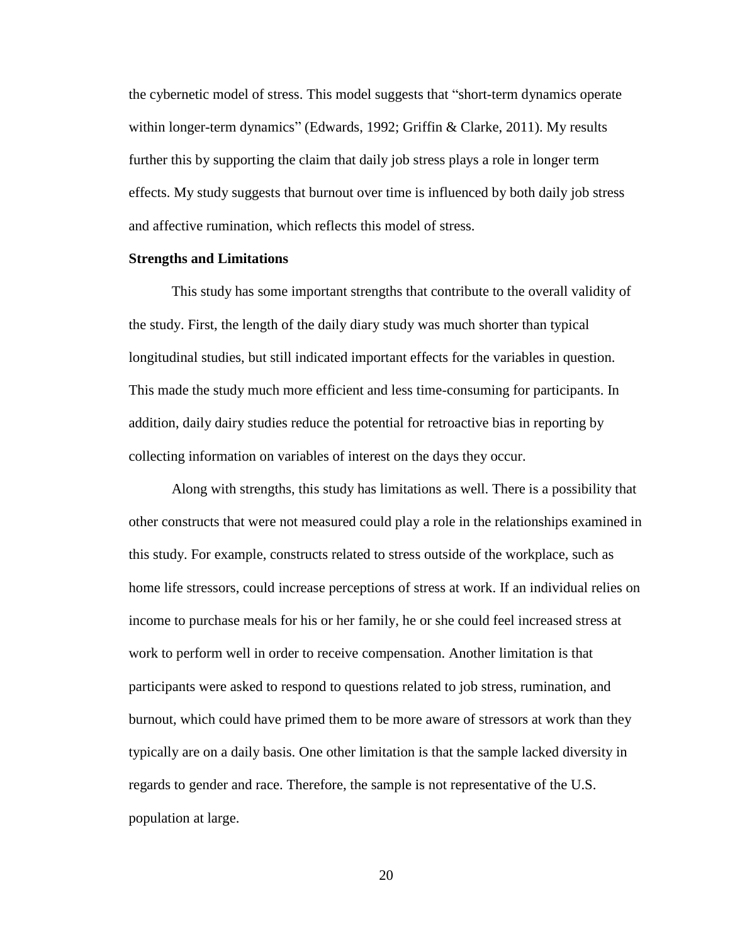the cybernetic model of stress. This model suggests that "short-term dynamics operate within longer-term dynamics" (Edwards, 1992; Griffin & Clarke, 2011). My results further this by supporting the claim that daily job stress plays a role in longer term effects. My study suggests that burnout over time is influenced by both daily job stress and affective rumination, which reflects this model of stress.

#### **Strengths and Limitations**

This study has some important strengths that contribute to the overall validity of the study. First, the length of the daily diary study was much shorter than typical longitudinal studies, but still indicated important effects for the variables in question. This made the study much more efficient and less time-consuming for participants. In addition, daily dairy studies reduce the potential for retroactive bias in reporting by collecting information on variables of interest on the days they occur.

Along with strengths, this study has limitations as well. There is a possibility that other constructs that were not measured could play a role in the relationships examined in this study. For example, constructs related to stress outside of the workplace, such as home life stressors, could increase perceptions of stress at work. If an individual relies on income to purchase meals for his or her family, he or she could feel increased stress at work to perform well in order to receive compensation. Another limitation is that participants were asked to respond to questions related to job stress, rumination, and burnout, which could have primed them to be more aware of stressors at work than they typically are on a daily basis. One other limitation is that the sample lacked diversity in regards to gender and race. Therefore, the sample is not representative of the U.S. population at large.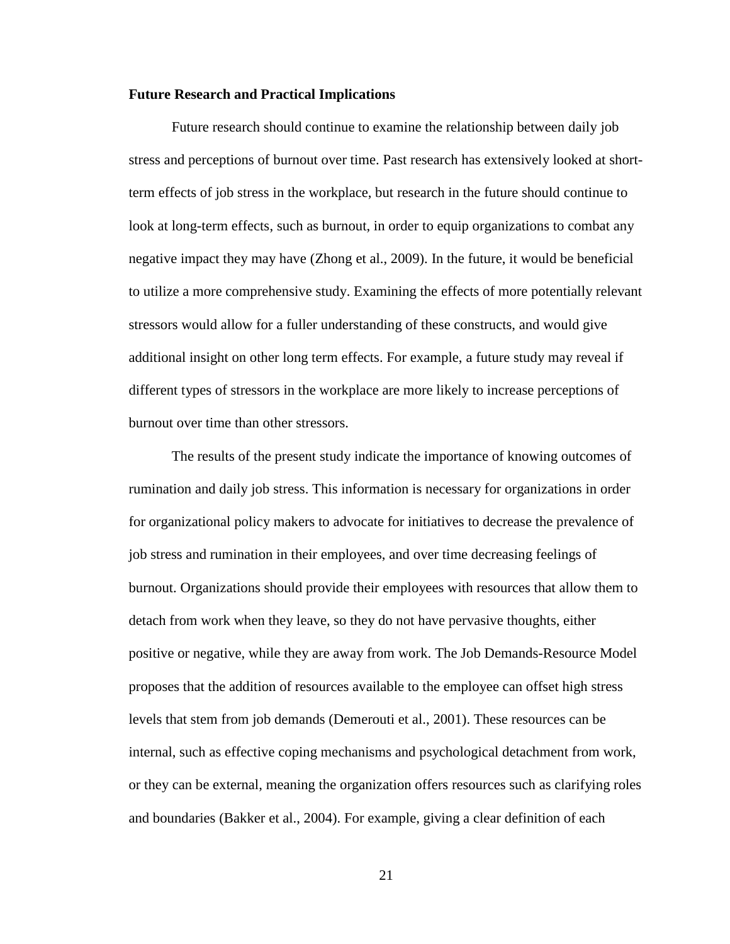#### **Future Research and Practical Implications**

Future research should continue to examine the relationship between daily job stress and perceptions of burnout over time. Past research has extensively looked at shortterm effects of job stress in the workplace, but research in the future should continue to look at long-term effects, such as burnout, in order to equip organizations to combat any negative impact they may have (Zhong et al., 2009). In the future, it would be beneficial to utilize a more comprehensive study. Examining the effects of more potentially relevant stressors would allow for a fuller understanding of these constructs, and would give additional insight on other long term effects. For example, a future study may reveal if different types of stressors in the workplace are more likely to increase perceptions of burnout over time than other stressors.

The results of the present study indicate the importance of knowing outcomes of rumination and daily job stress. This information is necessary for organizations in order for organizational policy makers to advocate for initiatives to decrease the prevalence of job stress and rumination in their employees, and over time decreasing feelings of burnout. Organizations should provide their employees with resources that allow them to detach from work when they leave, so they do not have pervasive thoughts, either positive or negative, while they are away from work. The Job Demands-Resource Model proposes that the addition of resources available to the employee can offset high stress levels that stem from job demands (Demerouti et al., 2001). These resources can be internal, such as effective coping mechanisms and psychological detachment from work, or they can be external, meaning the organization offers resources such as clarifying roles and boundaries (Bakker et al., 2004). For example, giving a clear definition of each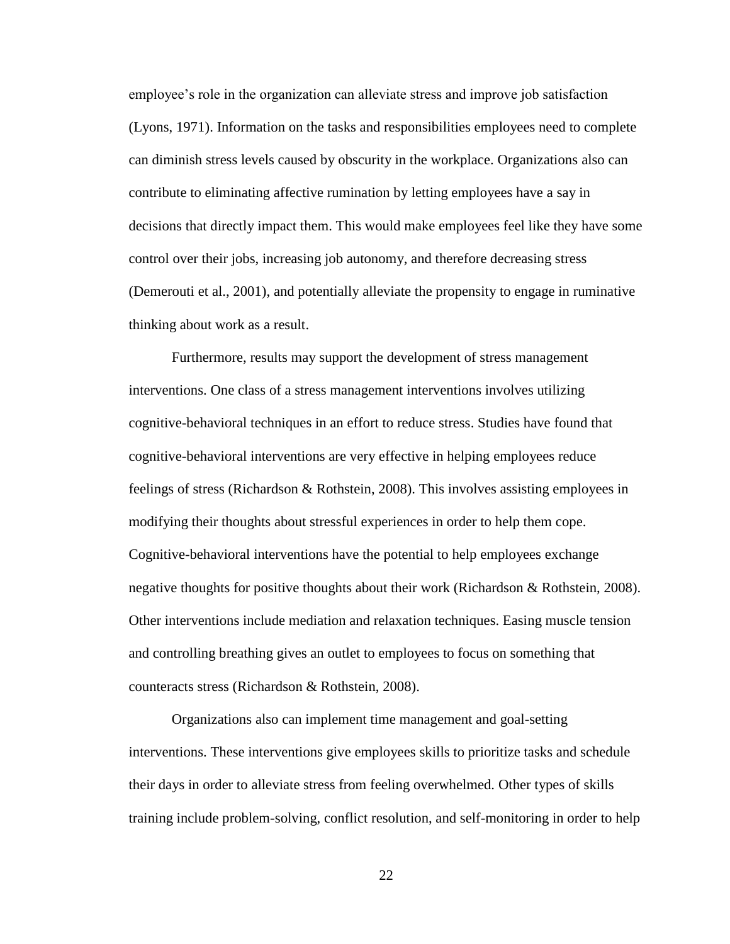employee's role in the organization can alleviate stress and improve job satisfaction (Lyons, 1971). Information on the tasks and responsibilities employees need to complete can diminish stress levels caused by obscurity in the workplace. Organizations also can contribute to eliminating affective rumination by letting employees have a say in decisions that directly impact them. This would make employees feel like they have some control over their jobs, increasing job autonomy, and therefore decreasing stress (Demerouti et al., 2001), and potentially alleviate the propensity to engage in ruminative thinking about work as a result.

Furthermore, results may support the development of stress management interventions. One class of a stress management interventions involves utilizing cognitive-behavioral techniques in an effort to reduce stress. Studies have found that cognitive-behavioral interventions are very effective in helping employees reduce feelings of stress (Richardson & Rothstein, 2008). This involves assisting employees in modifying their thoughts about stressful experiences in order to help them cope. Cognitive-behavioral interventions have the potential to help employees exchange negative thoughts for positive thoughts about their work (Richardson & Rothstein, 2008). Other interventions include mediation and relaxation techniques. Easing muscle tension and controlling breathing gives an outlet to employees to focus on something that counteracts stress (Richardson & Rothstein, 2008).

Organizations also can implement time management and goal-setting interventions. These interventions give employees skills to prioritize tasks and schedule their days in order to alleviate stress from feeling overwhelmed. Other types of skills training include problem-solving, conflict resolution, and self-monitoring in order to help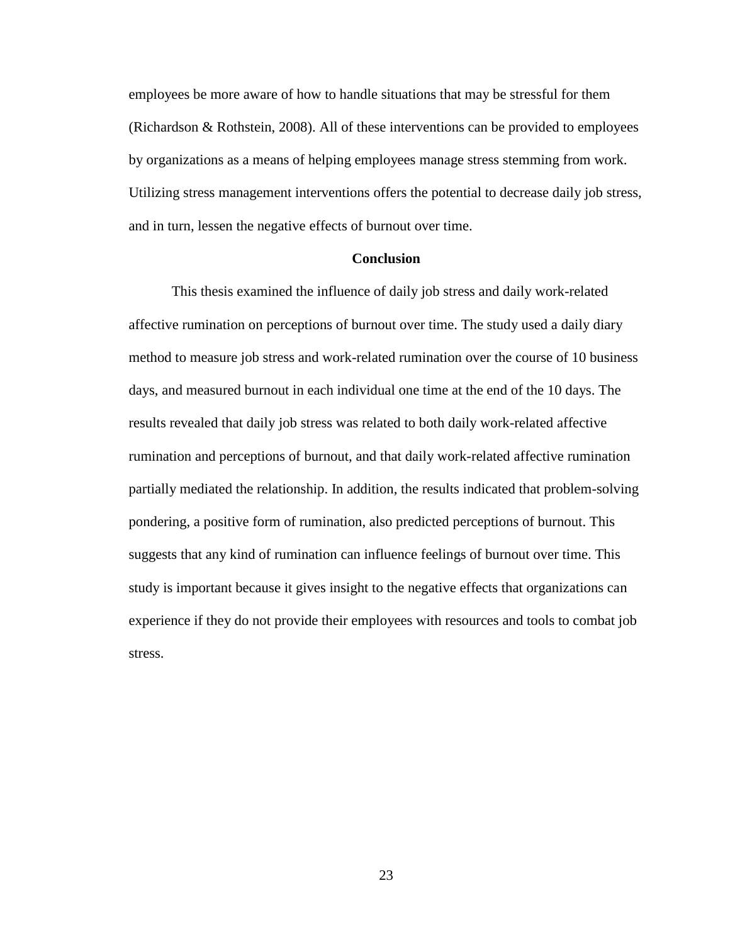employees be more aware of how to handle situations that may be stressful for them (Richardson & Rothstein, 2008). All of these interventions can be provided to employees by organizations as a means of helping employees manage stress stemming from work. Utilizing stress management interventions offers the potential to decrease daily job stress, and in turn, lessen the negative effects of burnout over time.

#### **Conclusion**

This thesis examined the influence of daily job stress and daily work-related affective rumination on perceptions of burnout over time. The study used a daily diary method to measure job stress and work-related rumination over the course of 10 business days, and measured burnout in each individual one time at the end of the 10 days. The results revealed that daily job stress was related to both daily work-related affective rumination and perceptions of burnout, and that daily work-related affective rumination partially mediated the relationship. In addition, the results indicated that problem-solving pondering, a positive form of rumination, also predicted perceptions of burnout. This suggests that any kind of rumination can influence feelings of burnout over time. This study is important because it gives insight to the negative effects that organizations can experience if they do not provide their employees with resources and tools to combat job stress.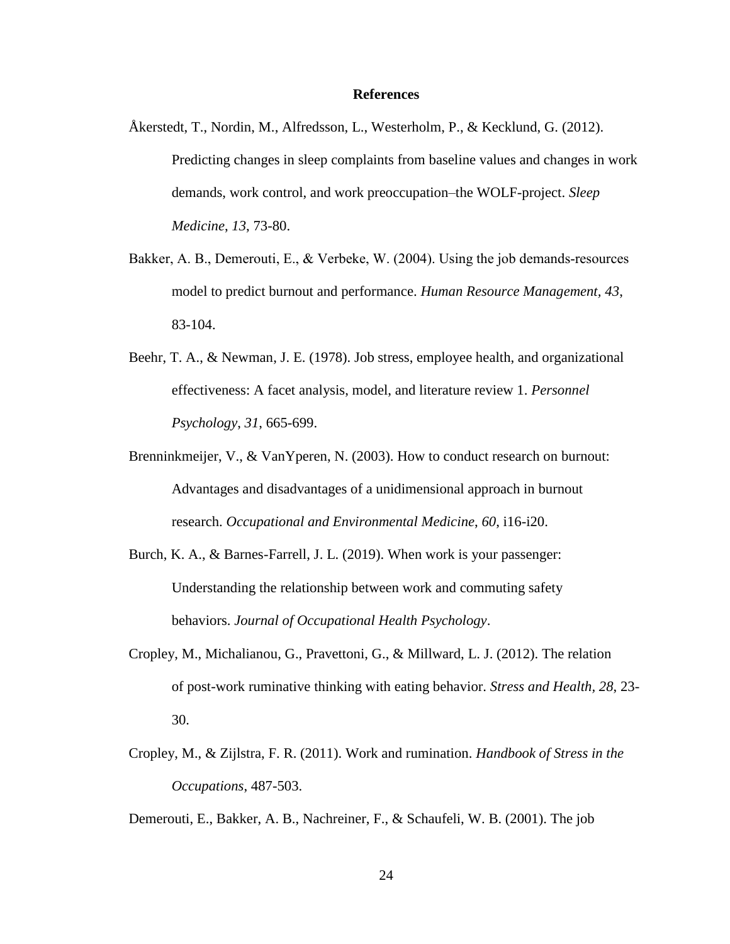#### **References**

- Åkerstedt, T., Nordin, M., Alfredsson, L., Westerholm, P., & Kecklund, G. (2012). Predicting changes in sleep complaints from baseline values and changes in work demands, work control, and work preoccupation–the WOLF-project. *Sleep Medicine*, *13*, 73-80.
- Bakker, A. B., Demerouti, E., & Verbeke, W. (2004). Using the job demands‐resources model to predict burnout and performance. *Human Resource Management, 43*, 83-104.
- Beehr, T. A., & Newman, J. E. (1978). Job stress, employee health, and organizational effectiveness: A facet analysis, model, and literature review 1. *Personnel Psychology*, *31*, 665-699.
- Brenninkmeijer, V., & VanYperen, N. (2003). How to conduct research on burnout: Advantages and disadvantages of a unidimensional approach in burnout research. *Occupational and Environmental Medicine*, *60*, i16-i20.
- Burch, K. A., & Barnes-Farrell, J. L. (2019). When work is your passenger: Understanding the relationship between work and commuting safety behaviors. *Journal of Occupational Health Psychology*.
- Cropley, M., Michalianou, G., Pravettoni, G., & Millward, L. J. (2012). The relation of post-work ruminative thinking with eating behavior. *Stress and Health, 28*, 23- 30.
- Cropley, M., & Zijlstra, F. R. (2011). Work and rumination. *Handbook of Stress in the Occupations*, 487-503.

Demerouti, E., Bakker, A. B., Nachreiner, F., & Schaufeli, W. B. (2001). The job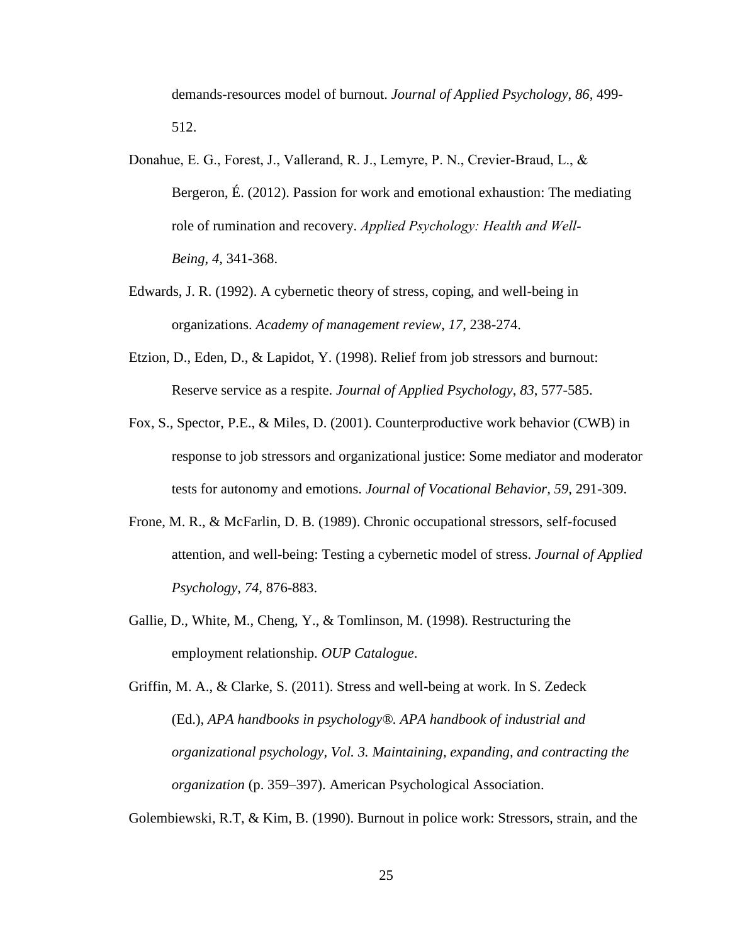demands-resources model of burnout. *Journal of Applied Psychology*, *86*, 499- 512.

- Donahue, E. G., Forest, J., Vallerand, R. J., Lemyre, P. N., Crevier‐Braud, L., & Bergeron, É. (2012). Passion for work and emotional exhaustion: The mediating role of rumination and recovery. *Applied Psychology: Health and Well‐ Being*, *4*, 341-368.
- Edwards, J. R. (1992). A cybernetic theory of stress, coping, and well-being in organizations. *Academy of management review*, *17*, 238-274.
- Etzion, D., Eden, D., & Lapidot, Y. (1998). Relief from job stressors and burnout: Reserve service as a respite. *Journal of Applied Psychology*, *83*, 577-585.
- Fox, S., Spector, P.E., & Miles, D. (2001). Counterproductive work behavior (CWB) in response to job stressors and organizational justice: Some mediator and moderator tests for autonomy and emotions. *Journal of Vocational Behavior, 59,* 291-309.
- Frone, M. R., & McFarlin, D. B. (1989). Chronic occupational stressors, self-focused attention, and well-being: Testing a cybernetic model of stress. *Journal of Applied Psychology*, *74*, 876-883.
- Gallie, D., White, M., Cheng, Y., & Tomlinson, M. (1998). Restructuring the employment relationship. *OUP Catalogue*.
- Griffin, M. A., & Clarke, S. (2011). Stress and well-being at work. In S. Zedeck (Ed.), *APA handbooks in psychology®. APA handbook of industrial and organizational psychology, Vol. 3. Maintaining, expanding, and contracting the organization* (p. 359–397). American Psychological Association.

Golembiewski, R.T, & Kim, B. (1990). Burnout in police work: Stressors, strain, and the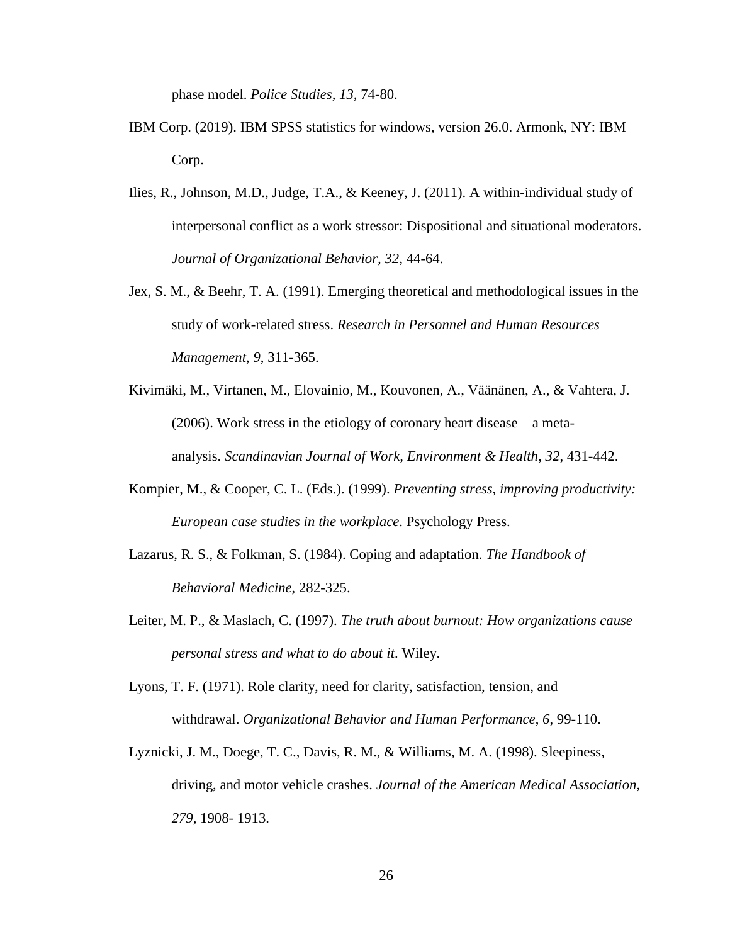phase model. *Police Studies, 13,* 74-80.

- IBM Corp. (2019). IBM SPSS statistics for windows, version 26.0. Armonk, NY: IBM Corp.
- Ilies, R., Johnson, M.D., Judge, T.A., & Keeney, J. (2011). A within-individual study of interpersonal conflict as a work stressor: Dispositional and situational moderators. *Journal of Organizational Behavior, 32,* 44-64.
- Jex, S. M., & Beehr, T. A. (1991). Emerging theoretical and methodological issues in the study of work-related stress. *Research in Personnel and Human Resources Management*, *9*, 311-365.
- Kivimäki, M., Virtanen, M., Elovainio, M., Kouvonen, A., Väänänen, A., & Vahtera, J. (2006). Work stress in the etiology of coronary heart disease—a metaanalysis. *Scandinavian Journal of Work, Environment & Health*, *32*, 431-442.
- Kompier, M., & Cooper, C. L. (Eds.). (1999). *Preventing stress, improving productivity: European case studies in the workplace*. Psychology Press.
- Lazarus, R. S., & Folkman, S. (1984). Coping and adaptation. *The Handbook of Behavioral Medicine*, 282-325.
- Leiter, M. P., & Maslach, C. (1997). *The truth about burnout: How organizations cause personal stress and what to do about it*. Wiley.
- Lyons, T. F. (1971). Role clarity, need for clarity, satisfaction, tension, and withdrawal. *Organizational Behavior and Human Performance*, *6*, 99-110.
- Lyznicki, J. M., Doege, T. C., Davis, R. M., & Williams, M. A. (1998). Sleepiness, driving, and motor vehicle crashes. *Journal of the American Medical Association, 279*, 1908- 1913.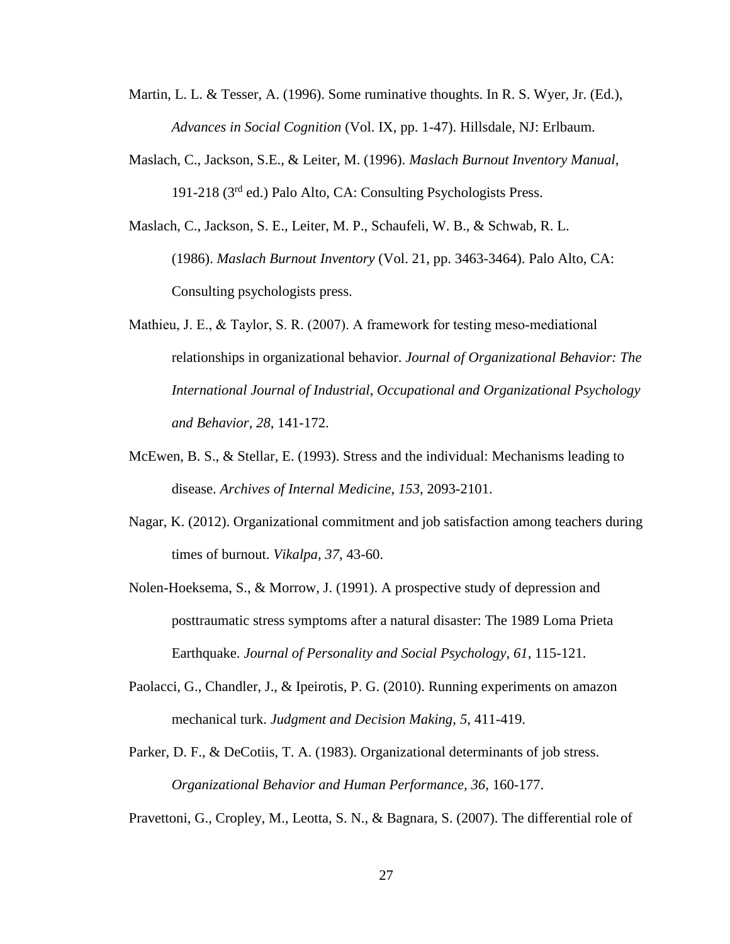- Martin, L. L. & Tesser, A. (1996). Some ruminative thoughts. In R. S. Wyer, Jr. (Ed.), *Advances in Social Cognition* (Vol. IX, pp. 1-47). Hillsdale, NJ: Erlbaum.
- Maslach, C., Jackson, S.E., & Leiter, M. (1996). *Maslach Burnout Inventory Manual,*  191-218 (3rd ed.) Palo Alto, CA: Consulting Psychologists Press.
- Maslach, C., Jackson, S. E., Leiter, M. P., Schaufeli, W. B., & Schwab, R. L. (1986). *Maslach Burnout Inventory* (Vol. 21, pp. 3463-3464). Palo Alto, CA: Consulting psychologists press.
- Mathieu, J. E., & Taylor, S. R. (2007). A framework for testing meso-mediational relationships in organizational behavior. *Journal of Organizational Behavior: The International Journal of Industrial, Occupational and Organizational Psychology and Behavior*, *28*, 141-172.
- McEwen, B. S., & Stellar, E. (1993). Stress and the individual: Mechanisms leading to disease. *Archives of Internal Medicine*, *153*, 2093-2101.
- Nagar, K. (2012). Organizational commitment and job satisfaction among teachers during times of burnout. *Vikalpa*, *37*, 43-60.
- Nolen-Hoeksema, S., & Morrow, J. (1991). A prospective study of depression and posttraumatic stress symptoms after a natural disaster: The 1989 Loma Prieta Earthquake. *Journal of Personality and Social Psychology*, *61*, 115-121.
- Paolacci, G., Chandler, J., & Ipeirotis, P. G. (2010). Running experiments on amazon mechanical turk. *Judgment and Decision Making*, *5*, 411-419.
- Parker, D. F., & DeCotiis, T. A. (1983). Organizational determinants of job stress. *Organizational Behavior and Human Performance, 36,* 160-177.

Pravettoni, G., Cropley, M., Leotta, S. N., & Bagnara, S. (2007). The differential role of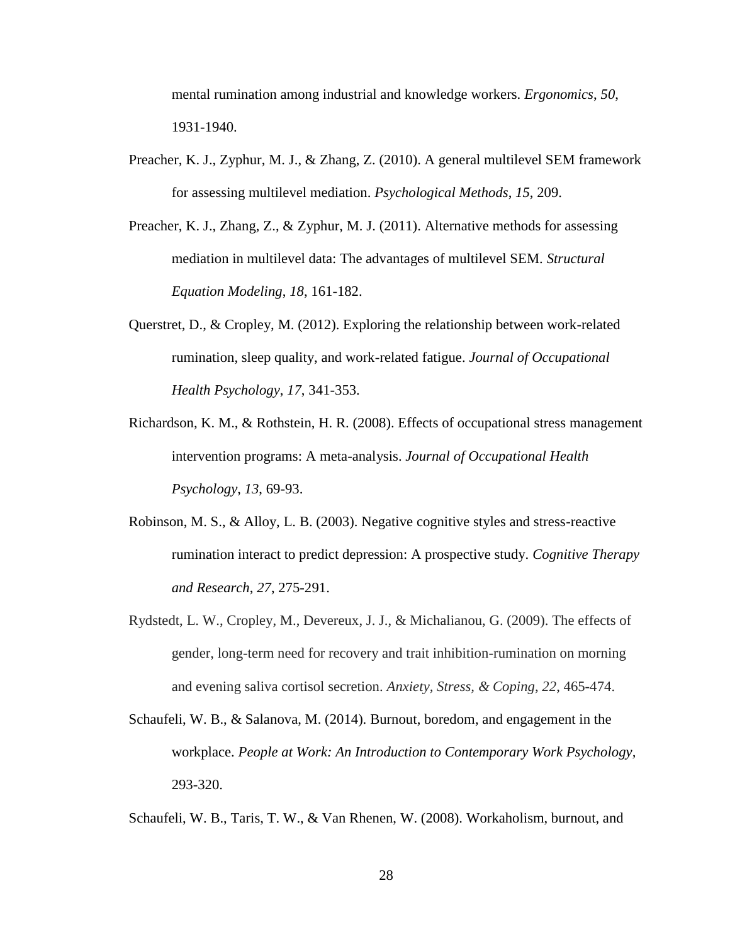mental rumination among industrial and knowledge workers. *Ergonomics*, *50*, 1931-1940.

- Preacher, K. J., Zyphur, M. J., & Zhang, Z. (2010). A general multilevel SEM framework for assessing multilevel mediation. *Psychological Methods*, *15*, 209.
- Preacher, K. J., Zhang, Z., & Zyphur, M. J. (2011). Alternative methods for assessing mediation in multilevel data: The advantages of multilevel SEM. *Structural Equation Modeling*, *18*, 161-182.
- Querstret, D., & Cropley, M. (2012). Exploring the relationship between work-related rumination, sleep quality, and work-related fatigue. *Journal of Occupational Health Psychology*, *17*, 341-353.
- Richardson, K. M., & Rothstein, H. R. (2008). Effects of occupational stress management intervention programs: A meta-analysis. *Journal of Occupational Health Psychology*, *13*, 69-93.
- Robinson, M. S., & Alloy, L. B. (2003). Negative cognitive styles and stress-reactive rumination interact to predict depression: A prospective study. *Cognitive Therapy and Research*, *27*, 275-291.
- Rydstedt, L. W., Cropley, M., Devereux, J. J., & Michalianou, G. (2009). The effects of gender, long-term need for recovery and trait inhibition-rumination on morning and evening saliva cortisol secretion. *Anxiety, Stress, & Coping*, *22*, 465-474.
- Schaufeli, W. B., & Salanova, M. (2014). Burnout, boredom, and engagement in the workplace. *People at Work: An Introduction to Contemporary Work Psychology,*  293-320.

Schaufeli, W. B., Taris, T. W., & Van Rhenen, W. (2008). Workaholism, burnout, and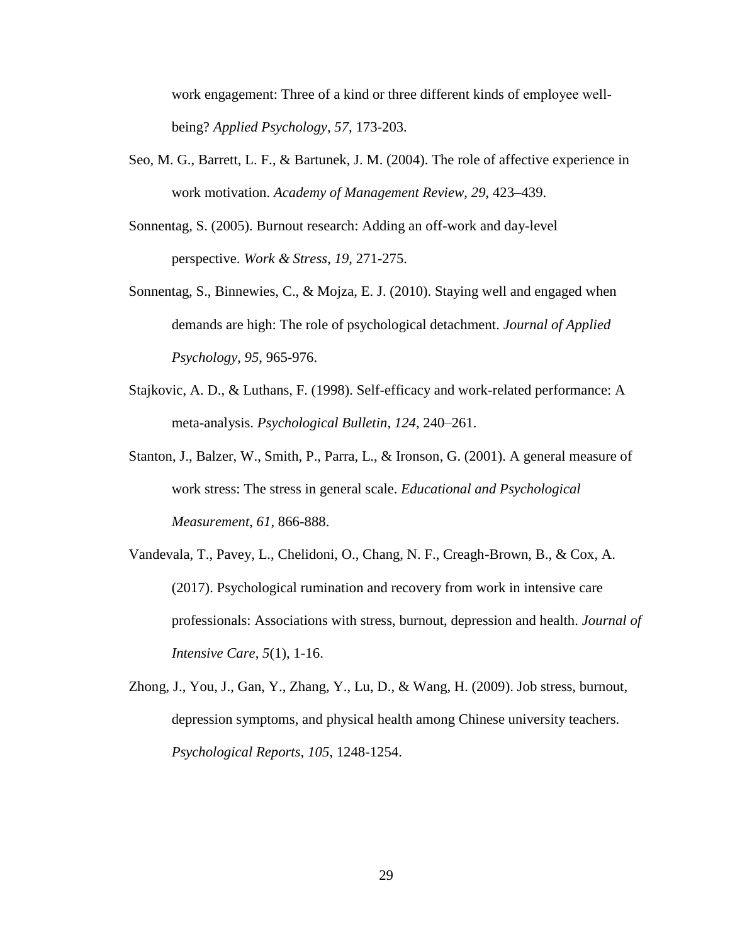work engagement: Three of a kind or three different kinds of employee wellbeing? *Applied Psychology*, *57*, 173-203.

- Seo, M. G., Barrett, L. F., & Bartunek, J. M. (2004). The role of affective experience in work motivation. *Academy of Management Review, 29*, 423–439.
- Sonnentag, S. (2005). Burnout research: Adding an off-work and day-level perspective. *Work & Stress*, *19*, 271-275.
- Sonnentag, S., Binnewies, C., & Mojza, E. J. (2010). Staying well and engaged when demands are high: The role of psychological detachment. *Journal of Applied Psychology*, *95*, 965-976.
- Stajkovic, A. D., & Luthans, F. (1998). Self-efficacy and work-related performance: A meta-analysis. *Psychological Bulletin*, *124*, 240–261.
- Stanton, J., Balzer, W., Smith, P., Parra, L., & Ironson, G. (2001). A general measure of work stress: The stress in general scale. *Educational and Psychological Measurement, 61*, 866-888.
- Vandevala, T., Pavey, L., Chelidoni, O., Chang, N. F., Creagh-Brown, B., & Cox, A. (2017). Psychological rumination and recovery from work in intensive care professionals: Associations with stress, burnout, depression and health. *Journal of Intensive Care*, *5*(1), 1-16.
- Zhong, J., You, J., Gan, Y., Zhang, Y., Lu, D., & Wang, H. (2009). Job stress, burnout, depression symptoms, and physical health among Chinese university teachers. *Psychological Reports, 105*, 1248-1254.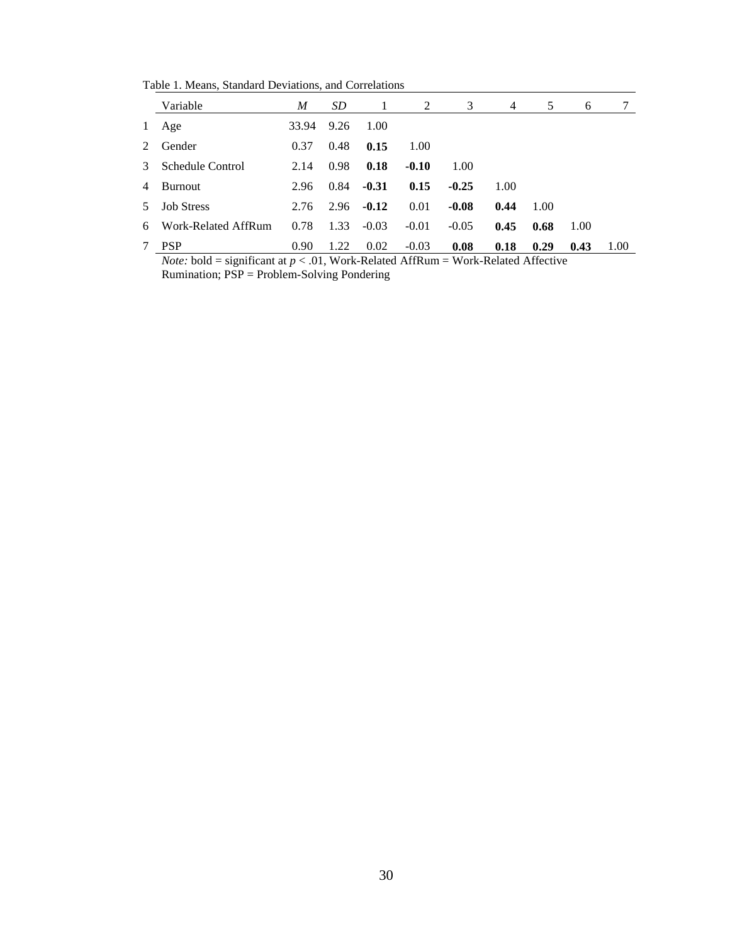Table 1. Means, Standard Deviations, and Correlations

|              | Variable            | M     | SD   | -1      | 2       | 3       | 4    | 5    | 6    |      |
|--------------|---------------------|-------|------|---------|---------|---------|------|------|------|------|
| $\mathbf{1}$ | Age                 | 33.94 | 9.26 | 1.00    |         |         |      |      |      |      |
| 2            | Gender              | 0.37  | 0.48 | 0.15    | 1.00    |         |      |      |      |      |
| 3            | Schedule Control    | 2.14  | 0.98 | 0.18    | $-0.10$ | 1.00    |      |      |      |      |
| 4            | Burnout             | 2.96  | 0.84 | $-0.31$ | 0.15    | $-0.25$ | 1.00 |      |      |      |
|              | 5 Job Stress        | 2.76  | 2.96 | $-0.12$ | 0.01    | $-0.08$ | 0.44 | 1.00 |      |      |
| 6            | Work-Related AffRum | 0.78  | 1.33 | $-0.03$ | $-0.01$ | $-0.05$ | 0.45 | 0.68 | 1.00 |      |
| 7            | <b>PSP</b>          | 0.90  | 1.22 | 0.02    | $-0.03$ | 0.08    | 0.18 | 0.29 | 0.43 | 1.00 |

*Note:* bold = significant at  $p < .01$ , Work-Related AffRum = Work-Related Affective Rumination; PSP = Problem-Solving Pondering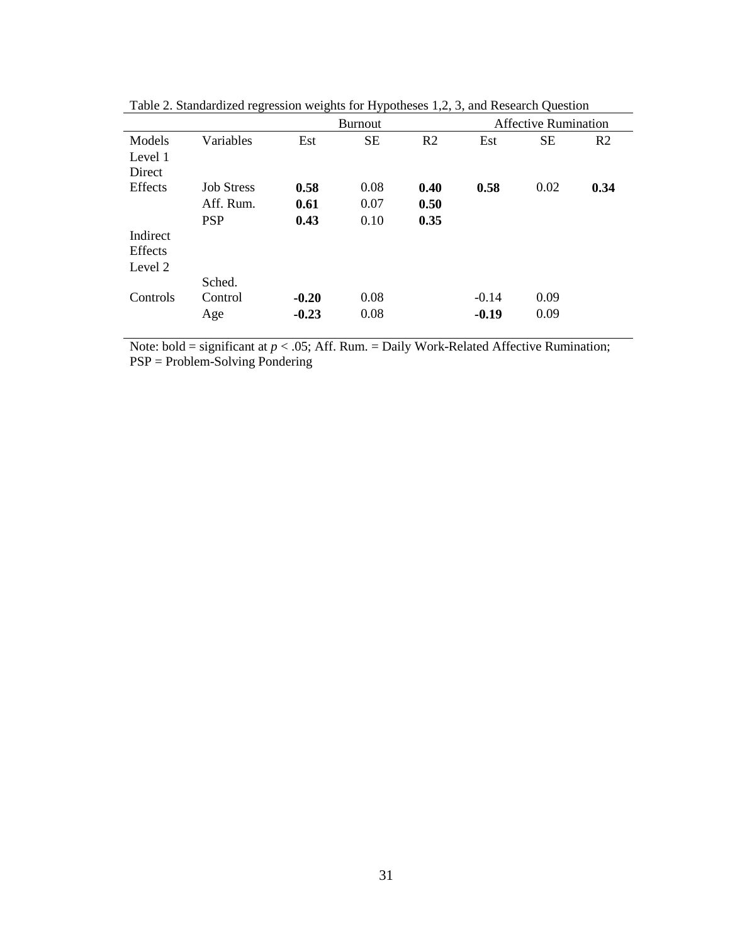|          |                   |         | <b>Burnout</b> |                |         | <b>Affective Rumination</b> |                |
|----------|-------------------|---------|----------------|----------------|---------|-----------------------------|----------------|
| Models   | Variables         | Est     | <b>SE</b>      | R <sub>2</sub> | Est     | <b>SE</b>                   | R <sub>2</sub> |
| Level 1  |                   |         |                |                |         |                             |                |
| Direct   |                   |         |                |                |         |                             |                |
| Effects  | <b>Job Stress</b> | 0.58    | 0.08           | 0.40           | 0.58    | 0.02                        | 0.34           |
|          | Aff. Rum.         | 0.61    | 0.07           | 0.50           |         |                             |                |
|          | <b>PSP</b>        | 0.43    | 0.10           | 0.35           |         |                             |                |
| Indirect |                   |         |                |                |         |                             |                |
| Effects  |                   |         |                |                |         |                             |                |
| Level 2  |                   |         |                |                |         |                             |                |
|          | Sched.            |         |                |                |         |                             |                |
| Controls | Control           | $-0.20$ | 0.08           |                | $-0.14$ | 0.09                        |                |
|          | Age               | $-0.23$ | 0.08           |                | $-0.19$ | 0.09                        |                |

Table 2. Standardized regression weights for Hypotheses 1,2, 3, and Research Question

Note: bold = significant at  $p < .05$ ; Aff. Rum. = Daily Work-Related Affective Rumination; PSP = Problem-Solving Pondering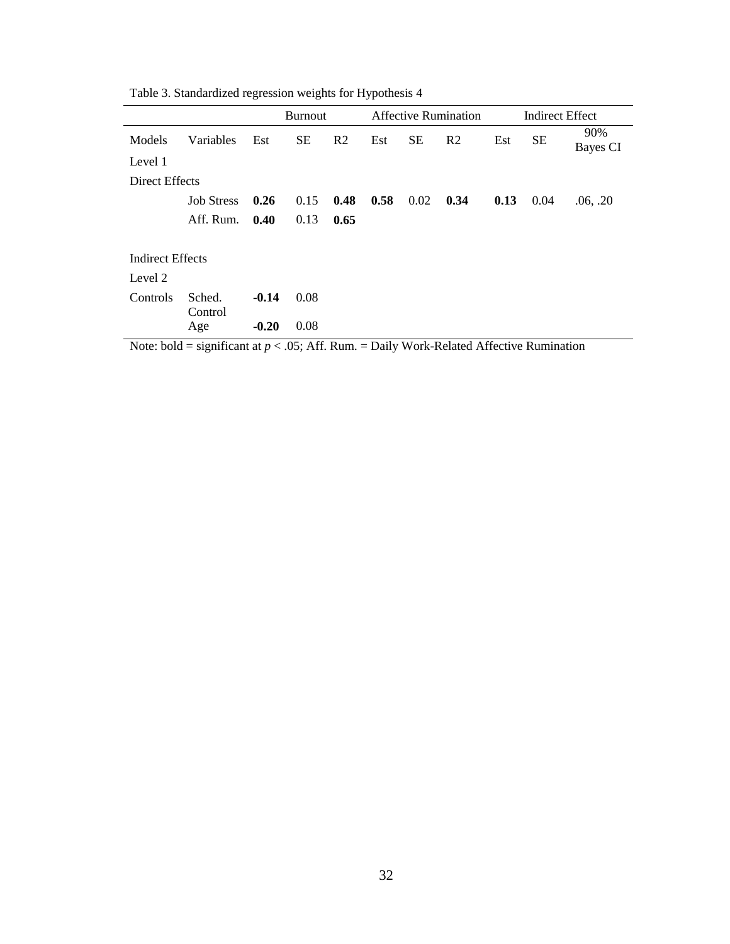|                         |                   | <b>Burnout</b> |           |                |      | <b>Affective Rumination</b> |                |      | <b>Indirect Effect</b> |                 |
|-------------------------|-------------------|----------------|-----------|----------------|------|-----------------------------|----------------|------|------------------------|-----------------|
| Models                  | Variables         | Est            | <b>SE</b> | R <sub>2</sub> | Est  | <b>SE</b>                   | R <sub>2</sub> | Est  | <b>SE</b>              | 90%<br>Bayes CI |
| Level 1                 |                   |                |           |                |      |                             |                |      |                        |                 |
| Direct Effects          |                   |                |           |                |      |                             |                |      |                        |                 |
|                         | <b>Job Stress</b> | 0.26           | 0.15      | 0.48           | 0.58 | 0.02                        | 0.34           | 0.13 | 0.04                   | .06, .20        |
|                         | Aff. Rum.         | 0.40           | 0.13      | 0.65           |      |                             |                |      |                        |                 |
|                         |                   |                |           |                |      |                             |                |      |                        |                 |
| <b>Indirect Effects</b> |                   |                |           |                |      |                             |                |      |                        |                 |
| Level 2                 |                   |                |           |                |      |                             |                |      |                        |                 |
| Controls                | Sched.<br>Control | $-0.14$        | 0.08      |                |      |                             |                |      |                        |                 |
|                         | Age               | $-0.20$        | 0.08      |                |      |                             |                |      |                        |                 |

Table 3. Standardized regression weights for Hypothesis 4

Note: bold = significant at  $p < .05$ ; Aff. Rum. = Daily Work-Related Affective Rumination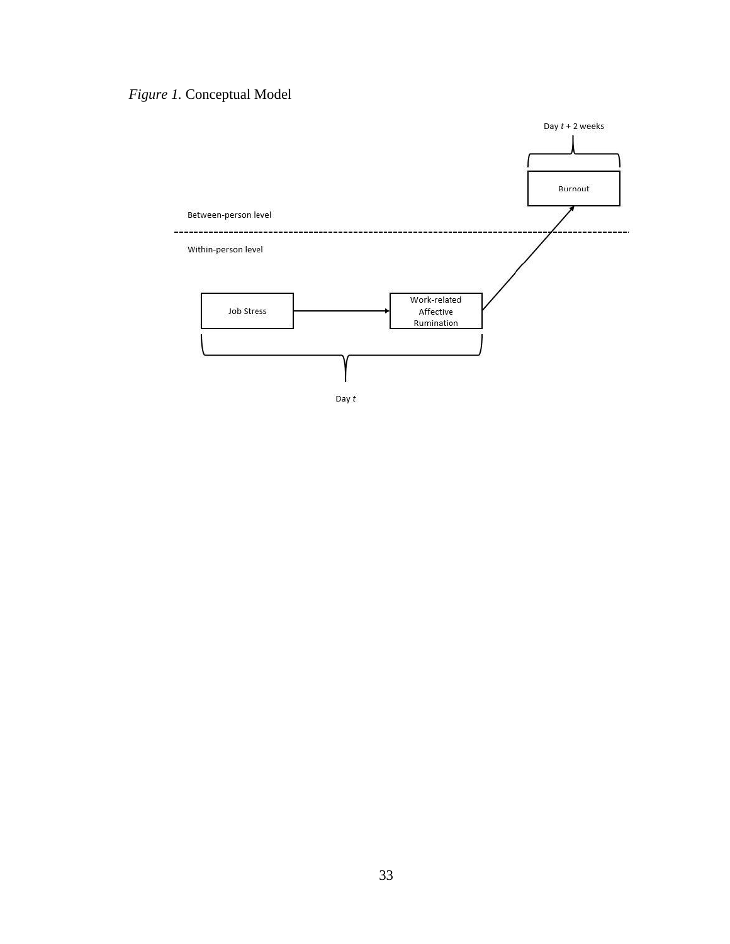*Figure 1.* Conceptual Model

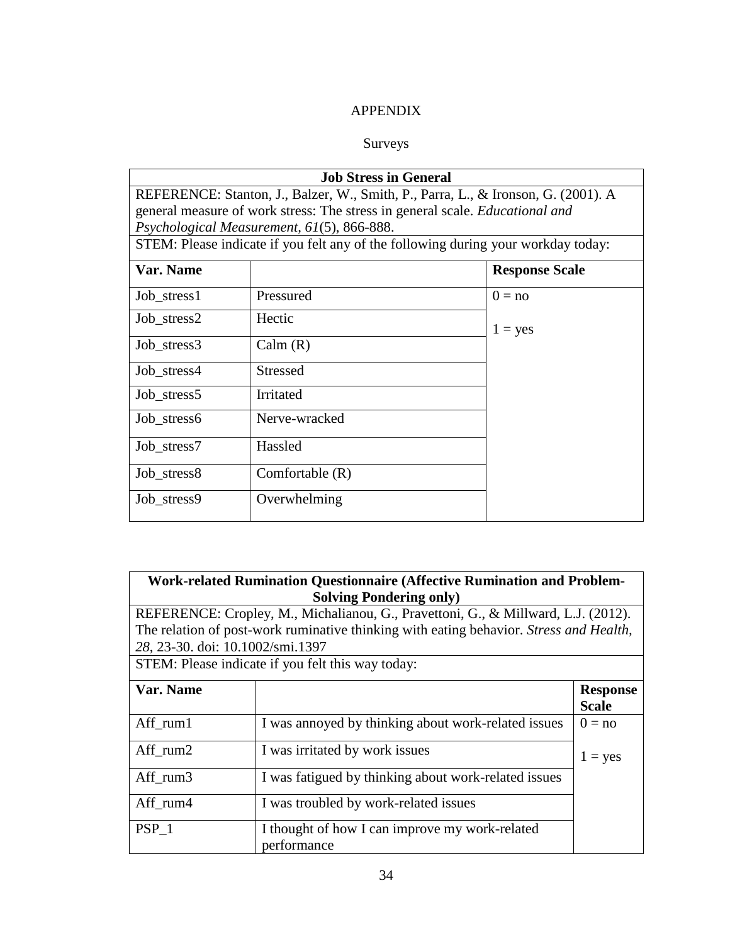# APPENDIX

# Surveys

| <b>Job Stress in General</b>                                                      |                                                                                                                                   |                       |  |  |  |  |  |
|-----------------------------------------------------------------------------------|-----------------------------------------------------------------------------------------------------------------------------------|-----------------------|--|--|--|--|--|
| REFERENCE: Stanton, J., Balzer, W., Smith, P., Parra, L., & Ironson, G. (2001). A |                                                                                                                                   |                       |  |  |  |  |  |
|                                                                                   | general measure of work stress: The stress in general scale. <i>Educational and</i><br>Psychological Measurement, 61(5), 866-888. |                       |  |  |  |  |  |
| STEM: Please indicate if you felt any of the following during your workday today: |                                                                                                                                   |                       |  |  |  |  |  |
| Var. Name                                                                         |                                                                                                                                   | <b>Response Scale</b> |  |  |  |  |  |
| Job stress1                                                                       | Pressured                                                                                                                         | $0 = no$              |  |  |  |  |  |
| Job stress2                                                                       | Hectic                                                                                                                            | $1 = yes$             |  |  |  |  |  |
| Job_stress3                                                                       | Calm(R)                                                                                                                           |                       |  |  |  |  |  |
| Job stress4                                                                       | <b>Stressed</b>                                                                                                                   |                       |  |  |  |  |  |
| Job_stress5                                                                       | Irritated                                                                                                                         |                       |  |  |  |  |  |
| Job stress6                                                                       | Nerve-wracked                                                                                                                     |                       |  |  |  |  |  |
| Job stress7                                                                       | Hassled                                                                                                                           |                       |  |  |  |  |  |
| Job stress8                                                                       | Comfortable $(R)$                                                                                                                 |                       |  |  |  |  |  |
| Job_stress9                                                                       | Overwhelming                                                                                                                      |                       |  |  |  |  |  |

| <b>Work-related Rumination Questionnaire (Affective Rumination and Problem-</b><br><b>Solving Pondering only)</b> |                                                                                        |                 |  |  |  |
|-------------------------------------------------------------------------------------------------------------------|----------------------------------------------------------------------------------------|-----------------|--|--|--|
|                                                                                                                   | REFERENCE: Cropley, M., Michalianou, G., Pravettoni, G., & Millward, L.J. (2012).      |                 |  |  |  |
|                                                                                                                   | The relation of post-work ruminative thinking with eating behavior. Stress and Health, |                 |  |  |  |
| 28, 23-30. doi: 10.1002/smi.1397                                                                                  |                                                                                        |                 |  |  |  |
|                                                                                                                   | STEM: Please indicate if you felt this way today:                                      |                 |  |  |  |
| Var. Name                                                                                                         |                                                                                        | <b>Response</b> |  |  |  |
|                                                                                                                   |                                                                                        | <b>Scale</b>    |  |  |  |
| Aff rum1                                                                                                          | I was annoyed by thinking about work-related issues                                    | $0 = no$        |  |  |  |
| Aff rum2                                                                                                          | I was irritated by work issues                                                         | $1 = yes$       |  |  |  |
| Aff rum3                                                                                                          | I was fatigued by thinking about work-related issues                                   |                 |  |  |  |
| Aff rum4                                                                                                          | I was troubled by work-related issues                                                  |                 |  |  |  |
| PSP <sub>1</sub>                                                                                                  | I thought of how I can improve my work-related<br>performance                          |                 |  |  |  |